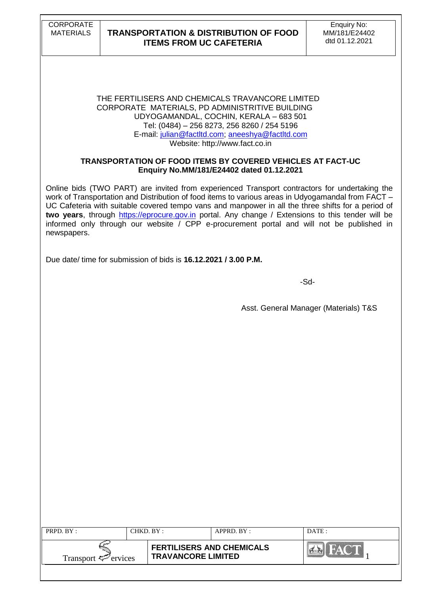#### THE FERTILISERS AND CHEMICALS TRAVANCORE LIMITED CORPORATE MATERIALS, PD ADMINISTRITIVE BUILDING UDYOGAMANDAL, COCHIN, KERALA – 683 501 Tel: (0484) – 256 8273, 256 8260 / 254 5196 E-mail: [julian@factltd.com;](mailto:julian@factltd.com) [aneeshya@factltd.com](mailto:paulpt@factltd.com) Website: [http://www.fact.co.in](http://www.fact.co.in/)

### **TRANSPORTATION OF FOOD ITEMS BY COVERED VEHICLES AT FACT-UC Enquiry No.MM/181/E24402 dated 01.12.2021**

Online bids (TWO PART) are invited from experienced Transport contractors for undertaking the work of Transportation and Distribution of food items to various areas in Udyogamandal from FACT – UC Cafeteria with suitable covered tempo vans and manpower in all the three shifts for a period of **two years**, through [https://eprocure.gov.in](https://eprocure.gov.in/) portal. Any change / Extensions to this tender will be informed only through our website / CPP e-procurement portal and will not be published in newspapers.

Due date/ time for submission of bids is **16.12.2021 / 3.00 P.M.**

-Sd-

Asst. General Manager (Materials) T&S

| <b>PRPD.</b> $BY:$              | CHKD. BY :- |                           | $APPRD$ $RY$ :                   | DATE: |
|---------------------------------|-------------|---------------------------|----------------------------------|-------|
| Transport $\mathcal{F}$ ervices |             | <b>TRAVANCORE LIMITED</b> | <b>FERTILISERS AND CHEMICALS</b> |       |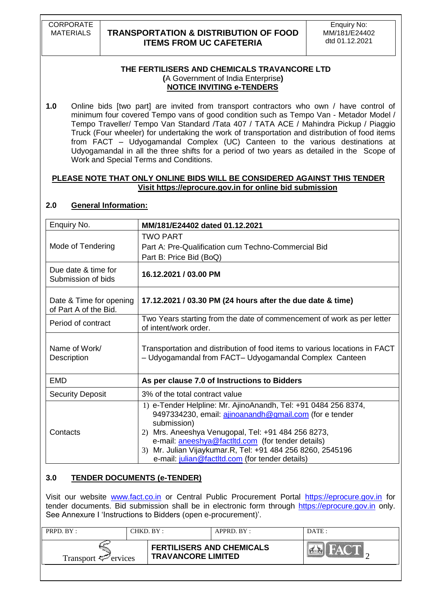CORPORATE

# MATERIALS **TRANSPORTATION & DISTRIBUTION OF FOOD ITEMS FROM UC CAFETERIA**

### **THE FERTILISERS AND CHEMICALS TRAVANCORE LTD (**A Government of India Enterprise**) NOTICE INVITING e-TENDERS**

**1.0** Online bids [two part] are invited from transport contractors who own / have control of minimum four covered Tempo vans of good condition such as Tempo Van - Metador Model / Tempo Traveller/ Tempo Van Standard /Tata 407 / TATA ACE / Mahindra Pickup / Piaggio Truck (Four wheeler) for undertaking the work of transportation and distribution of food items from FACT – Udyogamandal Complex (UC) Canteen to the various destinations at Udyogamandal in all the three shifts for a period of two years as detailed in the Scope of Work and Special Terms and Conditions.

### **PLEASE NOTE THAT ONLY ONLINE BIDS WILL BE CONSIDERED AGAINST THIS TENDER Visit [https://eprocure.gov.in](https://eprocure.gov.in/) for online bid submission**

| Enquiry No.                                      | MM/181/E24402 dated 01.12.2021                                                                                                                                                                                                                                                                                                                                            |
|--------------------------------------------------|---------------------------------------------------------------------------------------------------------------------------------------------------------------------------------------------------------------------------------------------------------------------------------------------------------------------------------------------------------------------------|
| Mode of Tendering                                | <b>TWO PART</b><br>Part A: Pre-Qualification cum Techno-Commercial Bid<br>Part B: Price Bid (BoQ)                                                                                                                                                                                                                                                                         |
| Due date & time for<br>Submission of bids        | 16.12.2021 / 03.00 PM                                                                                                                                                                                                                                                                                                                                                     |
| Date & Time for opening<br>of Part A of the Bid. | 17.12.2021 / 03.30 PM (24 hours after the due date & time)                                                                                                                                                                                                                                                                                                                |
| Period of contract                               | Two Years starting from the date of commencement of work as per letter<br>of intent/work order.                                                                                                                                                                                                                                                                           |
| Name of Work/<br>Description                     | Transportation and distribution of food items to various locations in FACT<br>- Udyogamandal from FACT- Udyogamandal Complex Canteen                                                                                                                                                                                                                                      |
| <b>EMD</b>                                       | As per clause 7.0 of Instructions to Bidders                                                                                                                                                                                                                                                                                                                              |
| <b>Security Deposit</b>                          | 3% of the total contract value                                                                                                                                                                                                                                                                                                                                            |
| Contacts                                         | 1) e-Tender Helpline: Mr. AjinoAnandh, Tel: +91 0484 256 8374,<br>9497334230, email: ajinoanandh@gmail.com (for e tender<br>submission)<br>Mrs. Aneeshya Venugopal, Tel: +91 484 256 8273,<br>2)<br>e-mail: aneeshya@factltd.com (for tender details)<br>Mr. Julian Vijaykumar.R, Tel: +91 484 256 8260, 2545196<br>3)<br>e-mail: julian@factltd.com (for tender details) |

# **2.0 General Information:**

# **3.0 TENDER DOCUMENTS (e-TENDER)**

Visit our website [www.fact.co.in](http://www.fact.co.in/) or Central Public Procurement Portal [https://eprocure.gov.in](https://eprocure.gov.in/) for tender documents. Bid submission shall be in electronic form through [https://eprocure.gov.in](https://eprocure.gov.in/) only. See Annexure I 'Instructions to Bidders (open e-procurement)'.

| <b>PRPD.</b> $BY:$<br>$CHKD$ . $BY$ : |  |                                                               | $APPRD$ $RY$ : | DATE: |
|---------------------------------------|--|---------------------------------------------------------------|----------------|-------|
| Transport $\mathcal{P}$ ervices       |  | <b>FERTILISERS AND CHEMICALS</b><br><b>TRAVANCORE LIMITED</b> |                | myA \ |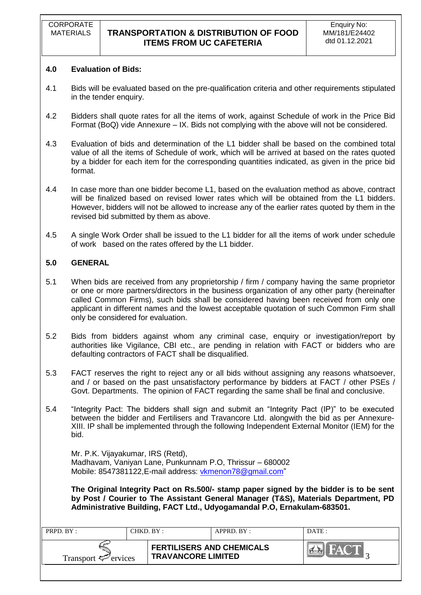### **4.0 Evaluation of Bids:**

- 4.1 Bids will be evaluated based on the pre-qualification criteria and other requirements stipulated in the tender enquiry.
- 4.2 Bidders shall quote rates for all the items of work, against Schedule of work in the Price Bid Format (BoQ) vide Annexure – IX. Bids not complying with the above will not be considered.
- 4.3 Evaluation of bids and determination of the L1 bidder shall be based on the combined total value of all the items of Schedule of work, which will be arrived at based on the rates quoted by a bidder for each item for the corresponding quantities indicated, as given in the price bid format.
- 4.4 In case more than one bidder become L1, based on the evaluation method as above, contract will be finalized based on revised lower rates which will be obtained from the L1 bidders. However, bidders will not be allowed to increase any of the earlier rates quoted by them in the revised bid submitted by them as above.
- 4.5 A single Work Order shall be issued to the L1 bidder for all the items of work under schedule of work based on the rates offered by the L1 bidder.

### **5.0 GENERAL**

- 5.1 When bids are received from any proprietorship / firm / company having the same proprietor or one or more partners/directors in the business organization of any other party (hereinafter called Common Firms), such bids shall be considered having been received from only one applicant in different names and the lowest acceptable quotation of such Common Firm shall only be considered for evaluation.
- 5.2 Bids from bidders against whom any criminal case, enquiry or investigation/report by authorities like Vigilance, CBI etc., are pending in relation with FACT or bidders who are defaulting contractors of FACT shall be disqualified.
- 5.3 FACT reserves the right to reject any or all bids without assigning any reasons whatsoever, and / or based on the past unsatisfactory performance by bidders at FACT / other PSEs / Govt. Departments. The opinion of FACT regarding the same shall be final and conclusive.
- 5.4 "Integrity Pact: The bidders shall sign and submit an "Integrity Pact (IP)" to be executed between the bidder and Fertilisers and Travancore Ltd. alongwith the bid as per Annexure-XIII. IP shall be implemented through the following Independent External Monitor (IEM) for the bid.

Mr. P.K. Vijayakumar, IRS (Retd), Madhavam, Vaniyan Lane, Punkunnam P.O, Thrissur – 680002 Mobile: [8547381122,](callto:8547381122)E-mail address: [vkmenon78@gmail.com"](mailto:vkmenon78@gmail.com)

**The Original Integrity Pact on Rs.500/- stamp paper signed by the bidder is to be sent by Post / Courier to The Assistant General Manager (T&S), Materials Department, PD Administrative Building, FACT Ltd., Udyogamandal P.O, Ernakulam-683501.** 

| <b>PRPD.</b> $BY:$<br>CHKD. BY: |  | $APPRD$ $BY:$                                                 | DATE: |     |
|---------------------------------|--|---------------------------------------------------------------|-------|-----|
| Transport $\mathcal{F}$ ervices |  | <b>FERTILISERS AND CHEMICALS</b><br><b>TRAVANCORE LIMITED</b> |       | IA. |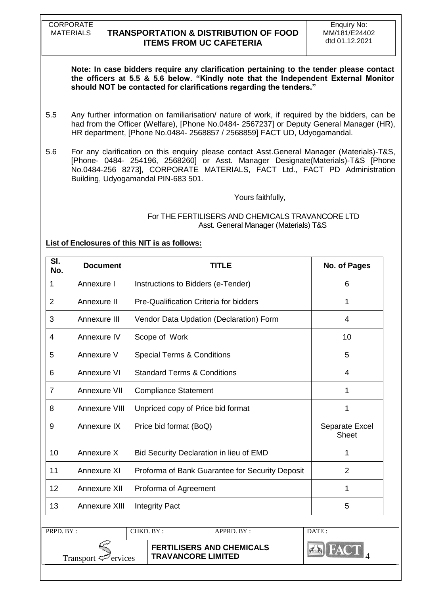CORPORATE

# MATERIALS **TRANSPORTATION & DISTRIBUTION OF FOOD ITEMS FROM UC CAFETERIA**

**Note: In case bidders require any clarification pertaining to the tender please contact the officers at 5.5 & 5.6 below. "Kindly note that the Independent External Monitor should NOT be contacted for clarifications regarding the tenders."**

- 5.5 Any further information on familiarisation/ nature of work, if required by the bidders, can be had from the Officer (Welfare), [Phone No.0484- 2567237] or Deputy General Manager (HR), HR department, [Phone No.0484- 2568857 / 2568859] FACT UD, Udyogamandal.
- 5.6 For any clarification on this enquiry please contact Asst.General Manager (Materials)-T&S, [Phone- 0484- 254196, 2568260] or Asst. Manager Designate(Materials)-T&S [Phone No.0484-256 8273], CORPORATE MATERIALS, FACT Ltd., FACT PD Administration Building, Udyogamandal PIN-683 501.

Yours faithfully,

### For THE FERTILISERS AND CHEMICALS TRAVANCORE LTD Asst. General Manager (Materials) T&S

### **List of Enclosures of this NIT is as follows:**

| SI.<br>No.     | <b>Document</b> | TITLE                                           | No. of Pages                   |
|----------------|-----------------|-------------------------------------------------|--------------------------------|
| 1              | Annexure I      | Instructions to Bidders (e-Tender)              | 6                              |
| $\overline{2}$ | Annexure II     | Pre-Qualification Criteria for bidders          | 1                              |
| 3              | Annexure III    | Vendor Data Updation (Declaration) Form         | 4                              |
| 4              | Annexure IV     | Scope of Work                                   | 10                             |
| 5              | Annexure V      | <b>Special Terms &amp; Conditions</b>           | 5                              |
| 6              | Annexure VI     | <b>Standard Terms &amp; Conditions</b>          | 4                              |
| 7              | Annexure VII    | <b>Compliance Statement</b>                     | 1                              |
| 8              | Annexure VIII   | Unpriced copy of Price bid format               | 1                              |
| 9              | Annexure IX     | Price bid format (BoQ)                          | Separate Excel<br><b>Sheet</b> |
| 10             | Annexure X      | Bid Security Declaration in lieu of EMD         | 1                              |
| 11             | Annexure XI     | Proforma of Bank Guarantee for Security Deposit | $\overline{2}$                 |
| 12             | Annexure XII    | Proforma of Agreement                           | 1                              |
| 13             | Annexure XIII   | <b>Integrity Pact</b>                           | 5                              |

| PRPD. BY:                       | CHKD. BY : |                           | $APPRD$ $BY:$                    | DATE: |
|---------------------------------|------------|---------------------------|----------------------------------|-------|
| Transport $\mathcal{P}$ ervices |            | <b>TRAVANCORE LIMITED</b> | <b>FERTILISERS AND CHEMICALS</b> |       |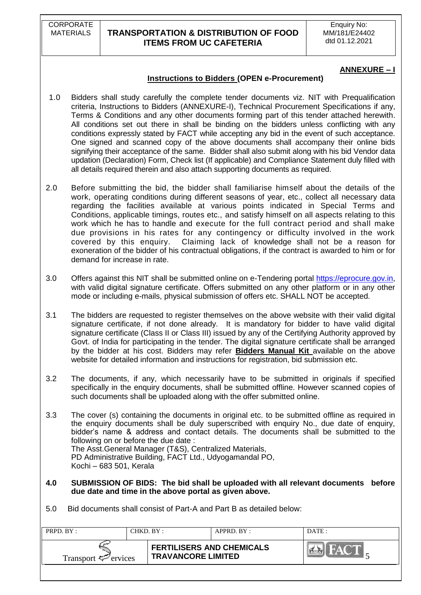CORPORATE

# MATERIALS **TRANSPORTATION & DISTRIBUTION OF FOOD ITEMS FROM UC CAFETERIA**

### **ANNEXURE – I**

### **Instructions to Bidders (OPEN e-Procurement)**

- 1.0 Bidders shall study carefully the complete tender documents viz. NIT with Prequalification criteria, Instructions to Bidders (ANNEXURE-I), Technical Procurement Specifications if any, Terms & Conditions and any other documents forming part of this tender attached herewith. All conditions set out there in shall be binding on the bidders unless conflicting with any conditions expressly stated by FACT while accepting any bid in the event of such acceptance. One signed and scanned copy of the above documents shall accompany their online bids signifying their acceptance of the same. Bidder shall also submit along with his bid Vendor data updation (Declaration) Form, Check list (If applicable) and Compliance Statement duly filled with all details required therein and also attach supporting documents as required.
- 2.0 Before submitting the bid, the bidder shall familiarise himself about the details of the work, operating conditions during different seasons of year, etc., collect all necessary data regarding the facilities available at various points indicated in Special Terms and Conditions, applicable timings, routes etc., and satisfy himself on all aspects relating to this work which he has to handle and execute for the full contract period and shall make due provisions in his rates for any contingency or difficulty involved in the work covered by this enquiry. Claiming lack of knowledge shall not be a reason for exoneration of the bidder of his contractual obligations, if the contract is awarded to him or for demand for increase in rate.
- 3.0 Offers against this NIT shall be submitted online on e-Tendering portal [https://eprocure.gov.in,](https://eprocure.gov.in/) with valid digital signature certificate. Offers submitted on any other platform or in any other mode or including e-mails, physical submission of offers etc. SHALL NOT be accepted.
- 3.1 The bidders are requested to register themselves on the above website with their valid digital signature certificate, if not done already. It is mandatory for bidder to have valid digital signature certificate (Class II or Class III) issued by any of the Certifying Authority approved by Govt. of India for participating in the tender. The digital signature certificate shall be arranged by the bidder at his cost. Bidders may refer **Bidders Manual Kit** available on the above website for detailed information and instructions for registration, bid submission etc.
- 3.2 The documents, if any, which necessarily have to be submitted in originals if specified specifically in the enquiry documents, shall be submitted offline. However scanned copies of such documents shall be uploaded along with the offer submitted online.
- 3.3 The cover (s) containing the documents in original etc. to be submitted offline as required in the enquiry documents shall be duly superscribed with enquiry No., due date of enquiry, bidder"s name & address and contact details. The documents shall be submitted to the following on or before the due date : The Asst.General Manager (T&S), Centralized Materials, PD Administrative Building, FACT Ltd., Udyogamandal PO, Kochi – 683 501, Kerala
- **4.0 SUBMISSION OF BIDS: The bid shall be uploaded with all relevant documents before due date and time in the above portal as given above.**
- 5.0 Bid documents shall consist of Part-A and Part B as detailed below:

| PRPD. BY:                       | CHKD. BY : |                                                               | APPRD. BY: | DATE: |
|---------------------------------|------------|---------------------------------------------------------------|------------|-------|
| Transport $\mathcal{P}$ ervices |            | <b>FERTILISERS AND CHEMICALS</b><br><b>TRAVANCORE LIMITED</b> |            |       |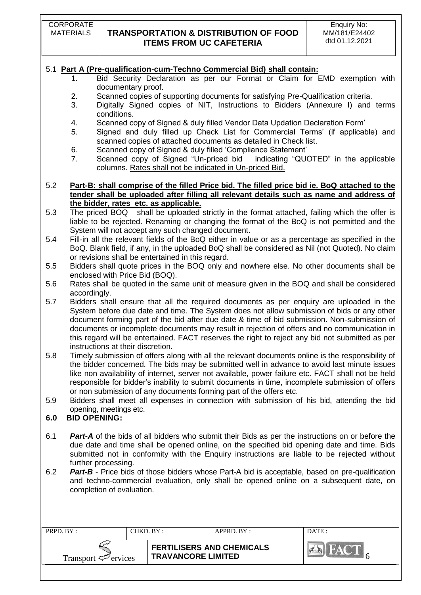# 5.1 **Part A (Pre-qualification-cum-Techno Commercial Bid) shall contain:**

- 1. Bid Security Declaration as per our Format or Claim for EMD exemption with documentary proof.
- 2. Scanned copies of supporting documents for satisfying Pre-Qualification criteria.
- 3. Digitally Signed copies of NIT, Instructions to Bidders (Annexure I) and terms conditions.
- 4. Scanned copy of Signed & duly filled Vendor Data Updation Declaration Form"
- 5. Signed and duly filled up Check List for Commercial Terms" (if applicable) and scanned copies of attached documents as detailed in Check list.
- 6. Scanned copy of Signed & duly filled "Compliance Statement"
- 7. Scanned copy of Signed "Un-priced bid indicating "QUOTED" in the applicable columns. Rates shall not be indicated in Un-priced Bid.

5.2 **Part-B: shall comprise of the filled Price bid. The filled price bid ie. BoQ attached to the tender shall be uploaded after filling all relevant details such as name and address of the bidder, rates etc. as applicable.**

- 5.3 The priced BOQ shall be uploaded strictly in the format attached, failing which the offer is liable to be rejected. Renaming or changing the format of the BoQ is not permitted and the System will not accept any such changed document.
- 5.4 Fill-in all the relevant fields of the BoQ either in value or as a percentage as specified in the BoQ. Blank field, if any, in the uploaded BoQ shall be considered as Nil (not Quoted). No claim or revisions shall be entertained in this regard.
- 5.5 Bidders shall quote prices in the BOQ only and nowhere else. No other documents shall be enclosed with Price Bid (BOQ).
- 5.6 Rates shall be quoted in the same unit of measure given in the BOQ and shall be considered accordingly.
- 5.7 Bidders shall ensure that all the required documents as per enquiry are uploaded in the System before due date and time. The System does not allow submission of bids or any other document forming part of the bid after due date & time of bid submission. Non-submission of documents or incomplete documents may result in rejection of offers and no communication in this regard will be entertained. FACT reserves the right to reject any bid not submitted as per instructions at their discretion.
- 5.8 Timely submission of offers along with all the relevant documents online is the responsibility of the bidder concerned. The bids may be submitted well in advance to avoid last minute issues like non availability of internet, server not available, power failure etc. FACT shall not be held responsible for bidder"s inability to submit documents in time, incomplete submission of offers or non submission of any documents forming part of the offers etc.
- 5.9 Bidders shall meet all expenses in connection with submission of his bid, attending the bid opening, meetings etc.

### **6.0 BID OPENING:**

- 6.1 *Part-A* of the bids of all bidders who submit their Bids as per the instructions on or before the due date and time shall be opened online, on the specified bid opening date and time. Bids submitted not in conformity with the Enquiry instructions are liable to be rejected without further processing.
- 6.2 *Part-B* Price bids of those bidders whose Part-A bid is acceptable, based on pre-qualification and techno-commercial evaluation, only shall be opened online on a subsequent date, on completion of evaluation.

| PRPD. BY:<br>CHKD. BY :         |  | $APPRD$ $BY:$                                                 | DATE : |
|---------------------------------|--|---------------------------------------------------------------|--------|
| Transport $\mathcal{P}$ ervices |  | <b>FERTILISERS AND CHEMICALS</b><br><b>TRAVANCORE LIMITED</b> |        |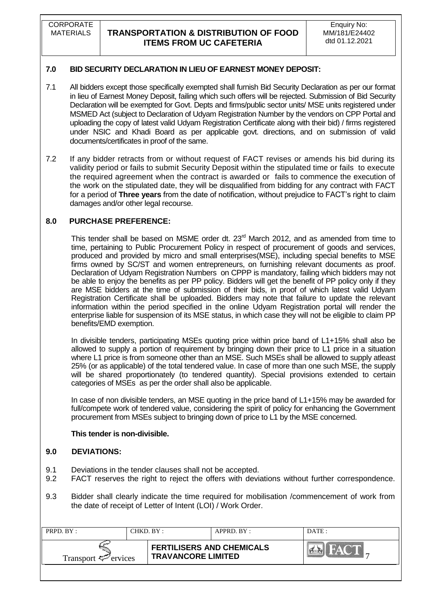**CORPORATE** 

# MATERIALS **TRANSPORTATION & DISTRIBUTION OF FOOD ITEMS FROM UC CAFETERIA**

# **7.0 BID SECURITY DECLARATION IN LIEU OF EARNEST MONEY DEPOSIT:**

- 7.1 All bidders except those specifically exempted shall furnish Bid Security Declaration as per our format in lieu of Earnest Money Deposit, failing which such offers will be rejected. Submission of Bid Security Declaration will be exempted for Govt. Depts and firms/public sector units/ MSE units registered under MSMED Act (subject to Declaration of Udyam Registration Number by the vendors on CPP Portal and uploading the copy of latest valid Udyam Registration Certificate along with their bid) / firms registered under NSIC and Khadi Board as per applicable govt. directions, and on submission of valid documents/certificates in proof of the same.
- 7.2 If any bidder retracts from or without request of FACT revises or amends his bid during its validity period or fails to submit Security Deposit within the stipulated time or fails to execute the required agreement when the contract is awarded or fails to commence the execution of the work on the stipulated date, they will be disqualified from bidding for any contract with FACT for a period of **Three years** from the date of notification, without prejudice to FACT"s right to claim damages and/or other legal recourse.

### **8.0 PURCHASE PREFERENCE:**

This tender shall be based on MSME order dt. 23<sup>rd</sup> March 2012, and as amended from time to time, pertaining to Public Procurement Policy in respect of procurement of goods and services, produced and provided by micro and small enterprises(MSE), including special benefits to MSE firms owned by SC/ST and women entrepreneurs, on furnishing relevant documents as proof. Declaration of Udyam Registration Numbers on CPPP is mandatory, failing which bidders may not be able to enjoy the benefits as per PP policy. Bidders will get the benefit of PP policy only if they are MSE bidders at the time of submission of their bids, in proof of which latest valid Udyam Registration Certificate shall be uploaded. Bidders may note that failure to update the relevant information within the period specified in the online Udyam Registration portal will render the enterprise liable for suspension of its MSE status, in which case they will not be eligible to claim PP benefits/EMD exemption.

In divisible tenders, participating MSEs quoting price within price band of L1+15% shall also be allowed to supply a portion of requirement by bringing down their price to L1 price in a situation where L1 price is from someone other than an MSE. Such MSEs shall be allowed to supply atleast 25% (or as applicable) of the total tendered value. In case of more than one such MSE, the supply will be shared proportionately (to tendered quantity). Special provisions extended to certain categories of MSEs as per the order shall also be applicable.

In case of non divisible tenders, an MSE quoting in the price band of L1+15% may be awarded for full/compete work of tendered value, considering the spirit of policy for enhancing the Government procurement from MSEs subject to bringing down of price to L1 by the MSE concerned.

#### **This tender is non-divisible.**

### **9.0 DEVIATIONS:**

- 9.1 Deviations in the tender clauses shall not be accepted.
- 9.2 FACT reserves the right to reject the offers with deviations without further correspondence.
- 9.3 Bidder shall clearly indicate the time required for mobilisation /commencement of work from the date of receipt of Letter of Intent (LOI) / Work Order.

| PRPD. BY:                       | CHKD. BY: |                                                               | APPRD. BY: | DATE: |
|---------------------------------|-----------|---------------------------------------------------------------|------------|-------|
| Transport $\mathcal{F}$ ervices |           | <b>FERTILISERS AND CHEMICALS</b><br><b>TRAVANCORE LIMITED</b> |            |       |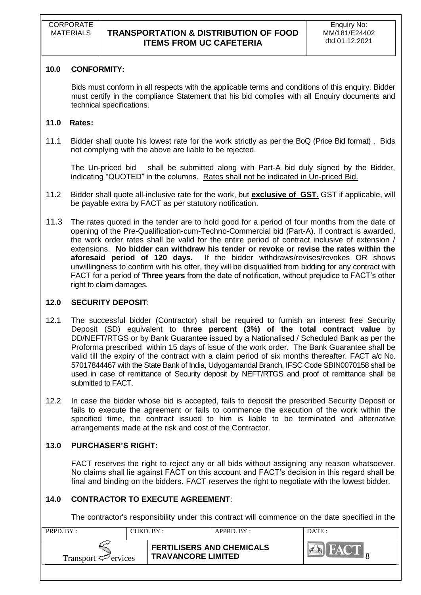### **10.0 CONFORMITY:**

Bids must conform in all respects with the applicable terms and conditions of this enquiry. Bidder must certify in the compliance Statement that his bid complies with all Enquiry documents and technical specifications.

### **11.0 Rates:**

11.1 Bidder shall quote his lowest rate for the work strictly as per the BoQ (Price Bid format) . Bids not complying with the above are liable to be rejected.

The Un-priced bid shall be submitted along with Part-A bid duly signed by the Bidder, indicating "QUOTED" in the columns. Rates shall not be indicated in Un-priced Bid.

- 11.2 Bidder shall quote all-inclusive rate for the work, but **exclusive of GST.** GST if applicable, will be payable extra by FACT as per statutory notification.
- 11.3 The rates quoted in the tender are to hold good for a period of four months from the date of opening of the Pre-Qualification-cum-Techno-Commercial bid (Part-A). If contract is awarded, the work order rates shall be valid for the entire period of contract inclusive of extension / extensions. **No bidder can withdraw his tender or revoke or revise the rates within the aforesaid period of 120 days.** If the bidder withdraws/revises/revokes OR shows unwillingness to confirm with his offer, they will be disqualified from bidding for any contract with FACT for a period of **Three years** from the date of notification, without prejudice to FACT"s other right to claim damages.

### **12.0 SECURITY DEPOSIT**:

- 12.1 The successful bidder (Contractor) shall be required to furnish an interest free Security Deposit (SD) equivalent to **three percent (3%) of the total contract value** by DD/NEFT/RTGS or by Bank Guarantee issued by a Nationalised / Scheduled Bank as per the Proforma prescribed within 15 days of issue of the work order. The Bank Guarantee shall be valid till the expiry of the contract with a claim period of six months thereafter. FACT a/c No. 57017844467 with the State Bank of India, Udyogamandal Branch, IFSC Code SBIN0070158 shall be used in case of remittance of Security deposit by NEFT/RTGS and proof of remittance shall be submitted to FACT.
- 12.2 In case the bidder whose bid is accepted, fails to deposit the prescribed Security Deposit or fails to execute the agreement or fails to commence the execution of the work within the specified time, the contract issued to him is liable to be terminated and alternative arrangements made at the risk and cost of the Contractor.

# **13.0 PURCHASER"S RIGHT:**

FACT reserves the right to reject any or all bids without assigning any reason whatsoever. No claims shall lie against FACT on this account and FACT"s decision in this regard shall be final and binding on the bidders. FACT reserves the right to negotiate with the lowest bidder.

### **14.0 CONTRACTOR TO EXECUTE AGREEMENT**:

The contractor's responsibility under this contract will commence on the date specified in the

| PRPD. $BY:$<br>CHKD. BY :-      |  | $APPRD$ $RY$ :                                                | DATE:            |
|---------------------------------|--|---------------------------------------------------------------|------------------|
| Transport $\mathcal{F}$ ervices |  | <b>FERTILISERS AND CHEMICALS</b><br><b>TRAVANCORE LIMITED</b> | <b>TELESCOPE</b> |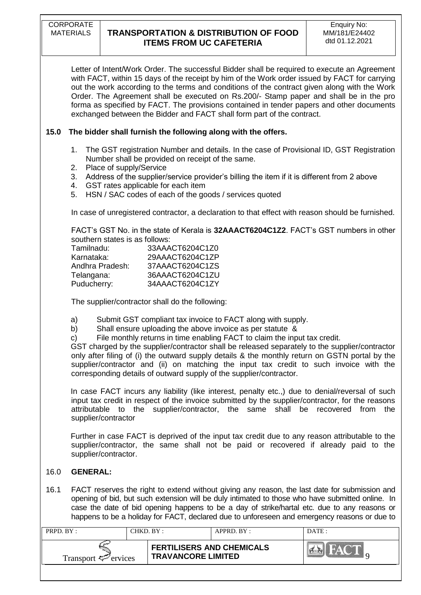Letter of Intent/Work Order. The successful Bidder shall be required to execute an Agreement with FACT, within 15 days of the receipt by him of the Work order issued by FACT for carrying out the work according to the terms and conditions of the contract given along with the Work Order. The Agreement shall be executed on Rs.200/- Stamp paper and shall be in the pro forma as specified by FACT. The provisions contained in tender papers and other documents exchanged between the Bidder and FACT shall form part of the contract.

# **15.0 The bidder shall furnish the following along with the offers.**

- 1. The GST registration Number and details. In the case of Provisional ID, GST Registration Number shall be provided on receipt of the same.
- 2. Place of supply/Service
- 3. Address of the supplier/service provider"s billing the item if it is different from 2 above
- 4. GST rates applicable for each item
- 5. HSN / SAC codes of each of the goods / services quoted

In case of unregistered contractor, a declaration to that effect with reason should be furnished.

FACT"s GST No. in the state of Kerala is **32AAACT6204C1Z2**. FACT"s GST numbers in other southern states is as follows:

| 33AAACT6204C1Z0 |
|-----------------|
| 29AAACT6204C1ZP |
| 37AAACT6204C1ZS |
| 36AAACT6204C1ZU |
| 34AAACT6204C1ZY |
|                 |

The supplier/contractor shall do the following:

- a) Submit GST compliant tax invoice to FACT along with supply.<br>b) Shall ensure uploading the above invoice as per statute &
- Shall ensure uploading the above invoice as per statute &
- c) File monthly returns in time enabling FACT to claim the input tax credit.

GST charged by the supplier/contractor shall be released separately to the supplier/contractor only after filing of (i) the outward supply details & the monthly return on GSTN portal by the supplier/contractor and (ii) on matching the input tax credit to such invoice with the corresponding details of outward supply of the supplier/contractor.

In case FACT incurs any liability (like interest, penalty etc.,) due to denial/reversal of such input tax credit in respect of the invoice submitted by the supplier/contractor, for the reasons attributable to the supplier/contractor, the same shall be recovered from the supplier/contractor

Further in case FACT is deprived of the input tax credit due to any reason attributable to the supplier/contractor, the same shall not be paid or recovered if already paid to the supplier/contractor.

# 16.0 **GENERAL:**

16.1 FACT reserves the right to extend without giving any reason, the last date for submission and opening of bid, but such extension will be duly intimated to those who have submitted online. In case the date of bid opening happens to be a day of strike/hartal etc. due to any reasons or happens to be a holiday for FACT, declared due to unforeseen and emergency reasons or due to

| PRPD. BY:                       | CHKD. BY:                 | APPRD. BY:                       | DATE: |
|---------------------------------|---------------------------|----------------------------------|-------|
| Transport $\mathcal{P}$ ervices | <b>TRAVANCORE LIMITED</b> | <b>FERTILISERS AND CHEMICALS</b> |       |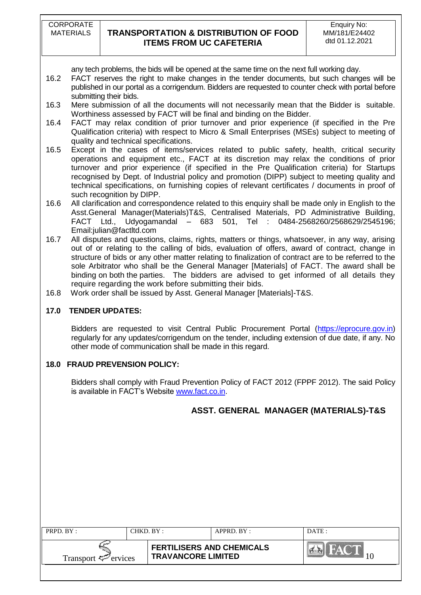any tech problems, the bids will be opened at the same time on the next full working day.

- 16.2 FACT reserves the right to make changes in the tender documents, but such changes will be published in our portal as a corrigendum. Bidders are requested to counter check with portal before submitting their bids.
- 16.3 Mere submission of all the documents will not necessarily mean that the Bidder is suitable. Worthiness assessed by FACT will be final and binding on the Bidder.
- 16.4 FACT may relax condition of prior turnover and prior experience (if specified in the Pre Qualification criteria) with respect to Micro & Small Enterprises (MSEs) subject to meeting of quality and technical specifications.
- 16.5 Except in the cases of items/services related to public safety, health, critical security operations and equipment etc., FACT at its discretion may relax the conditions of prior turnover and prior experience (if specified in the Pre Qualification criteria) for Startups recognised by Dept. of Industrial policy and promotion (DIPP) subject to meeting quality and technical specifications, on furnishing copies of relevant certificates / documents in proof of such recognition by DIPP.
- 16.6 All clarification and correspondence related to this enquiry shall be made only in English to the Asst.General Manager(Materials)T&S, Centralised Materials, PD Administrative Building, FACT Ltd., Udyogamandal – 683 501, Tel : 0484-2568260/2568629/2545196; Email:julian@factltd.com
- 16.7 All disputes and questions, claims, rights, matters or things, whatsoever, in any way, arising out of or relating to the calling of bids, evaluation of offers, award of contract, change in structure of bids or any other matter relating to finalization of contract are to be referred to the sole Arbitrator who shall be the General Manager [Materials] of FACT. The award shall be binding on both the parties. The bidders are advised to get informed of all details they require regarding the work before submitting their bids.
- 16.8 Work order shall be issued by Asst. General Manager [Materials]-T&S.

# **17.0 TENDER UPDATES:**

Bidders are requested to visit Central Public Procurement Portal [\(https://eprocure.gov.in\)](https://eprocure.gov.in/) regularly for any updates/corrigendum on the tender, including extension of due date, if any. No other mode of communication shall be made in this regard.

### **18.0 FRAUD PREVENSION POLICY:**

Bidders shall comply with Fraud Prevention Policy of FACT 2012 (FPPF 2012). The said Policy is available in FACT's Website [www.fact.co.in.](http://www.fact.co.in/)

# **ASST. GENERAL MANAGER (MATERIALS)-T&S**

| PRPD. BY:                       | CHKD. BY :-                                                   | $APPRD$ . $BY$ : | DATE: |
|---------------------------------|---------------------------------------------------------------|------------------|-------|
| Transport $\mathcal{F}$ ervices | <b>FERTILISERS AND CHEMICALS</b><br><b>TRAVANCORE LIMITED</b> |                  |       |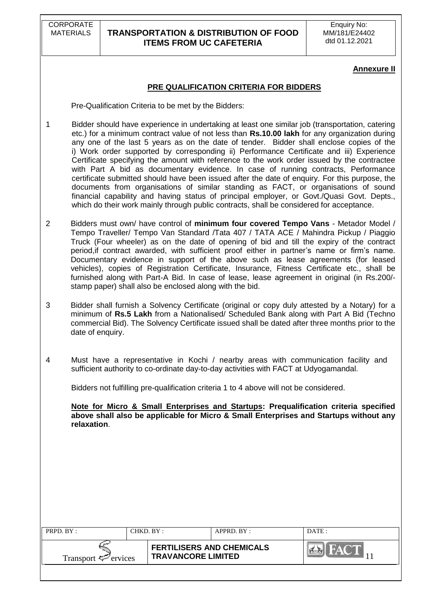### **Annexure II**

### **PRE QUALIFICATION CRITERIA FOR BIDDERS**

Pre-Qualification Criteria to be met by the Bidders:

- 1 Bidder should have experience in undertaking at least one similar job (transportation, catering etc.) for a minimum contract value of not less than **Rs.10.00 lakh** for any organization during any one of the last 5 years as on the date of tender. Bidder shall enclose copies of the i) Work order supported by corresponding ii) Performance Certificate and iii) Experience Certificate specifying the amount with reference to the work order issued by the contractee with Part A bid as documentary evidence. In case of running contracts, Performance certificate submitted should have been issued after the date of enquiry. For this purpose, the documents from organisations of similar standing as FACT, or organisations of sound financial capability and having status of principal employer, or Govt./Quasi Govt. Depts., which do their work mainly through public contracts, shall be considered for acceptance.
- 2 Bidders must own/ have control of **minimum four covered Tempo Vans** Metador Model / Tempo Traveller/ Tempo Van Standard /Tata 407 / TATA ACE / Mahindra Pickup / Piaggio Truck (Four wheeler) as on the date of opening of bid and till the expiry of the contract period, if contract awarded, with sufficient proof either in partner's name or firm's name. Documentary evidence in support of the above such as lease agreements (for leased vehicles), copies of Registration Certificate, Insurance, Fitness Certificate etc., shall be furnished along with Part-A Bid. In case of lease, lease agreement in original (in Rs.200/ stamp paper) shall also be enclosed along with the bid.
- 3 Bidder shall furnish a Solvency Certificate (original or copy duly attested by a Notary) for a minimum of **Rs.5 Lakh** from a Nationalised/ Scheduled Bank along with Part A Bid (Techno commercial Bid). The Solvency Certificate issued shall be dated after three months prior to the date of enquiry.
- 4 Must have a representative in Kochi / nearby areas with communication facility and sufficient authority to co-ordinate day-to-day activities with FACT at Udyogamandal.

Bidders not fulfilling pre-qualification criteria 1 to 4 above will not be considered.

**Note for Micro & Small Enterprises and Startups: Prequalification criteria specified above shall also be applicable for Micro & Small Enterprises and Startups without any relaxation**.

| <b>PRPD.</b> $BY:$       | $CHKD$ $BY$ : |                                                               | $APPRD$ $RY$ : | DATE: |
|--------------------------|---------------|---------------------------------------------------------------|----------------|-------|
| Transport $\leq$ ervices |               | <b>FERTILISERS AND CHEMICALS</b><br><b>TRAVANCORE LIMITED</b> |                |       |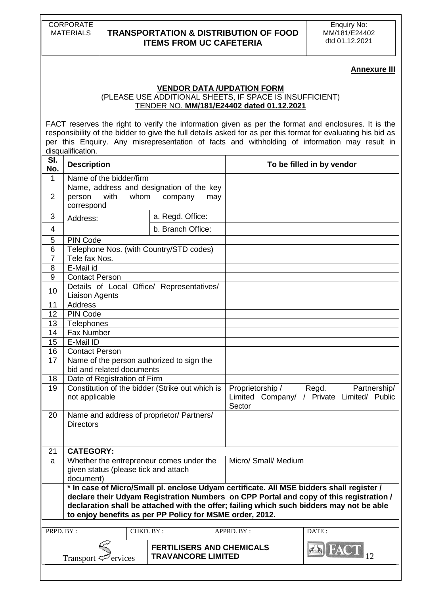Enquiry No: MM/181/E24402 dtd 01.12.2021

#### **Annexure III**

# **VENDOR DATA /UPDATION FORM**

(PLEASE USE ADDITIONAL SHEETS, IF SPACE IS INSUFFICIENT) TENDER NO. **MM/181/E24402 dated 01.12.2021**

FACT reserves the right to verify the information given as per the format and enclosures. It is the responsibility of the bidder to give the full details asked for as per this format for evaluating his bid as per this Enquiry. Any misrepresentation of facts and withholding of information may result in disqualification.

| SI.<br>No.                                                                                                                                                                                                                                                                                                                                 | <b>Description</b>                                                                                                    |                                                               | To be filled in by vendor                                                                         |  |  |
|--------------------------------------------------------------------------------------------------------------------------------------------------------------------------------------------------------------------------------------------------------------------------------------------------------------------------------------------|-----------------------------------------------------------------------------------------------------------------------|---------------------------------------------------------------|---------------------------------------------------------------------------------------------------|--|--|
| 1                                                                                                                                                                                                                                                                                                                                          | Name of the bidder/firm                                                                                               |                                                               |                                                                                                   |  |  |
| $\overline{2}$                                                                                                                                                                                                                                                                                                                             | Name, address and designation of the key<br>person<br>whom<br>with<br>correspond                                      | company<br>may                                                |                                                                                                   |  |  |
| 3                                                                                                                                                                                                                                                                                                                                          | Address:                                                                                                              | a. Regd. Office:                                              |                                                                                                   |  |  |
| 4                                                                                                                                                                                                                                                                                                                                          |                                                                                                                       | b. Branch Office:                                             |                                                                                                   |  |  |
| 5                                                                                                                                                                                                                                                                                                                                          | <b>PIN Code</b>                                                                                                       |                                                               |                                                                                                   |  |  |
| $6\phantom{1}6$                                                                                                                                                                                                                                                                                                                            | Telephone Nos. (with Country/STD codes)                                                                               |                                                               |                                                                                                   |  |  |
| $\overline{7}$                                                                                                                                                                                                                                                                                                                             | Tele fax Nos.                                                                                                         |                                                               |                                                                                                   |  |  |
| 8                                                                                                                                                                                                                                                                                                                                          | E-Mail id                                                                                                             |                                                               |                                                                                                   |  |  |
| 9                                                                                                                                                                                                                                                                                                                                          | <b>Contact Person</b>                                                                                                 |                                                               |                                                                                                   |  |  |
| 10                                                                                                                                                                                                                                                                                                                                         | Details of Local Office/ Representatives/<br><b>Liaison Agents</b>                                                    |                                                               |                                                                                                   |  |  |
| 11                                                                                                                                                                                                                                                                                                                                         | <b>Address</b>                                                                                                        |                                                               |                                                                                                   |  |  |
| 12                                                                                                                                                                                                                                                                                                                                         | <b>PIN Code</b>                                                                                                       |                                                               |                                                                                                   |  |  |
| 13                                                                                                                                                                                                                                                                                                                                         | Telephones                                                                                                            |                                                               |                                                                                                   |  |  |
| 14                                                                                                                                                                                                                                                                                                                                         | Fax Number                                                                                                            |                                                               |                                                                                                   |  |  |
| 15                                                                                                                                                                                                                                                                                                                                         | E-Mail ID                                                                                                             |                                                               |                                                                                                   |  |  |
| 16                                                                                                                                                                                                                                                                                                                                         | <b>Contact Person</b>                                                                                                 |                                                               |                                                                                                   |  |  |
| 17                                                                                                                                                                                                                                                                                                                                         | Name of the person authorized to sign the<br>bid and related documents                                                |                                                               |                                                                                                   |  |  |
| 18                                                                                                                                                                                                                                                                                                                                         | Date of Registration of Firm                                                                                          |                                                               |                                                                                                   |  |  |
| 19                                                                                                                                                                                                                                                                                                                                         | Constitution of the bidder (Strike out which is<br>not applicable                                                     |                                                               | Proprietorship /<br>Regd.<br>Partnership/<br>Limited Company/ / Private Limited/ Public<br>Sector |  |  |
| 20                                                                                                                                                                                                                                                                                                                                         | Name and address of proprietor/ Partners/<br><b>Directors</b>                                                         |                                                               |                                                                                                   |  |  |
| 21                                                                                                                                                                                                                                                                                                                                         | <b>CATEGORY:</b>                                                                                                      |                                                               |                                                                                                   |  |  |
| a                                                                                                                                                                                                                                                                                                                                          | Whether the entrepreneur comes under the<br>Micro/ Small/ Medium<br>given status (please tick and attach<br>document) |                                                               |                                                                                                   |  |  |
| * In case of Micro/Small pl. enclose Udyam certificate. All MSE bidders shall register /<br>declare their Udyam Registration Numbers on CPP Portal and copy of this registration /<br>declaration shall be attached with the offer; failing which such bidders may not be able<br>to enjoy benefits as per PP Policy for MSME order, 2012. |                                                                                                                       |                                                               |                                                                                                   |  |  |
| PRPD. BY:                                                                                                                                                                                                                                                                                                                                  | CHKD. BY:                                                                                                             |                                                               | APPRD. BY:<br>DATE:                                                                               |  |  |
|                                                                                                                                                                                                                                                                                                                                            | Transport $\leq$ ervices                                                                                              | <b>FERTILISERS AND CHEMICALS</b><br><b>TRAVANCORE LIMITED</b> | EAC<br>12                                                                                         |  |  |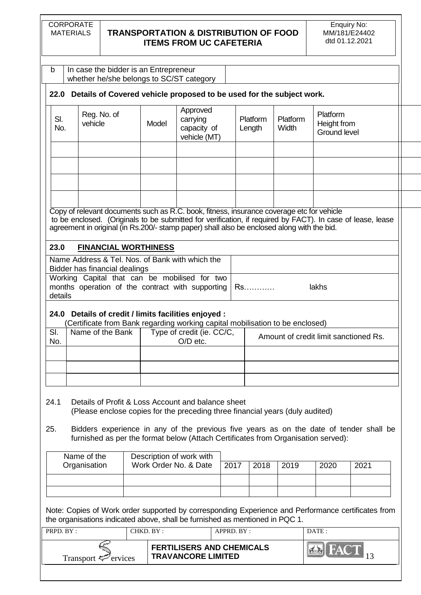| CORPORATE |
|-----------|
| MATERIALS |

|            | whether he/she belongs to SC/ST category                                                                                                                                                                                                                                                              |                                                   |                                                     |            |                    |                                       |                                                |      |  |
|------------|-------------------------------------------------------------------------------------------------------------------------------------------------------------------------------------------------------------------------------------------------------------------------------------------------------|---------------------------------------------------|-----------------------------------------------------|------------|--------------------|---------------------------------------|------------------------------------------------|------|--|
|            | 22.0 Details of Covered vehicle proposed to be used for the subject work.                                                                                                                                                                                                                             |                                                   |                                                     |            |                    |                                       |                                                |      |  |
| SI.<br>No. | Reg. No. of<br>vehicle                                                                                                                                                                                                                                                                                | Model                                             | Approved<br>carrying<br>capacity of<br>vehicle (MT) |            | Platform<br>Length | Platform<br>Width                     | Platform<br>Height from<br><b>Ground level</b> |      |  |
|            |                                                                                                                                                                                                                                                                                                       |                                                   |                                                     |            |                    |                                       |                                                |      |  |
|            |                                                                                                                                                                                                                                                                                                       |                                                   |                                                     |            |                    |                                       |                                                |      |  |
|            | Copy of relevant documents such as R.C. book, fitness, insurance coverage etc for vehicle<br>to be enclosed. (Originals to be submitted for verification, if required by FACT). In case of lease, lease<br>agreement in original (in Rs.200/- stamp paper) shall also be enclosed along with the bid. |                                                   |                                                     |            |                    |                                       |                                                |      |  |
| 23.0       |                                                                                                                                                                                                                                                                                                       | <b>FINANCIAL WORTHINESS</b>                       |                                                     |            |                    |                                       |                                                |      |  |
|            | Name Address & Tel. Nos. of Bank with which the<br>Bidder has financial dealings                                                                                                                                                                                                                      |                                                   |                                                     |            |                    |                                       |                                                |      |  |
| details    | Working Capital that can be mobilised for two<br>months operation of the contract with supporting                                                                                                                                                                                                     |                                                   |                                                     |            | Rs.                |                                       | lakhs                                          |      |  |
|            | 24.0 Details of credit / limits facilities enjoyed :<br>(Certificate from Bank regarding working capital mobilisation to be enclosed)                                                                                                                                                                 |                                                   |                                                     |            |                    |                                       |                                                |      |  |
| SI.<br>No. | Name of the Bank                                                                                                                                                                                                                                                                                      |                                                   | Type of credit (ie. CC/C,<br>O/D etc.               |            |                    | Amount of credit limit sanctioned Rs. |                                                |      |  |
|            |                                                                                                                                                                                                                                                                                                       |                                                   |                                                     |            |                    |                                       |                                                |      |  |
| 24.1       | Details of Profit & Loss Account and balance sheet<br>(Please enclose copies for the preceding three financial years (duly audited)                                                                                                                                                                   |                                                   |                                                     |            |                    |                                       |                                                |      |  |
| 25.        | Bidders experience in any of the previous five years as on the date of tender shall be<br>furnished as per the format below (Attach Certificates from Organisation served):                                                                                                                           |                                                   |                                                     |            |                    |                                       |                                                |      |  |
|            | Name of the                                                                                                                                                                                                                                                                                           | Description of work with<br>Work Order No. & Date |                                                     |            |                    |                                       |                                                |      |  |
|            | Organisation                                                                                                                                                                                                                                                                                          |                                                   |                                                     | 2017       | 2018               | 2019                                  | 2020                                           | 2021 |  |
|            |                                                                                                                                                                                                                                                                                                       |                                                   |                                                     |            |                    |                                       |                                                |      |  |
|            | Note: Copies of Work order supported by corresponding Experience and Performance certificates from<br>the organisations indicated above, shall be furnished as mentioned in PQC 1.                                                                                                                    |                                                   |                                                     |            |                    |                                       |                                                |      |  |
| PRPD. BY:  |                                                                                                                                                                                                                                                                                                       | CHKD. BY:                                         |                                                     | APPRD. BY: |                    |                                       | DATE:                                          |      |  |
|            |                                                                                                                                                                                                                                                                                                       |                                                   |                                                     |            |                    |                                       |                                                |      |  |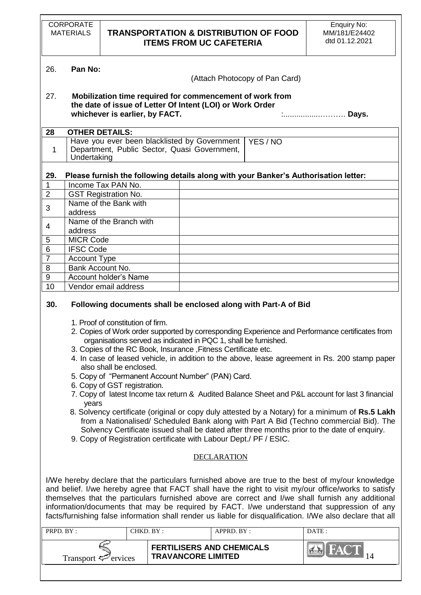|                                                                                                                                                                                                                                                                                                                                                                                                                                                                                                                                                                                                                                                                                                                                                                                                                                                                                                                                                                          | <b>CORPORATE</b><br><b>MATERIALS</b>                                                                                                                                                                                                                                                                                                                                                                                                                                                                                        |  |           |  |                                              | <b>ITEMS FROM UC CAFETERIA</b>   | <b>TRANSPORTATION &amp; DISTRIBUTION OF FOOD</b>        | <b>Enquiry No:</b><br>MM/181/E24402<br>dtd 01.12.2021                               |
|--------------------------------------------------------------------------------------------------------------------------------------------------------------------------------------------------------------------------------------------------------------------------------------------------------------------------------------------------------------------------------------------------------------------------------------------------------------------------------------------------------------------------------------------------------------------------------------------------------------------------------------------------------------------------------------------------------------------------------------------------------------------------------------------------------------------------------------------------------------------------------------------------------------------------------------------------------------------------|-----------------------------------------------------------------------------------------------------------------------------------------------------------------------------------------------------------------------------------------------------------------------------------------------------------------------------------------------------------------------------------------------------------------------------------------------------------------------------------------------------------------------------|--|-----------|--|----------------------------------------------|----------------------------------|---------------------------------------------------------|-------------------------------------------------------------------------------------|
| 26.                                                                                                                                                                                                                                                                                                                                                                                                                                                                                                                                                                                                                                                                                                                                                                                                                                                                                                                                                                      | Pan No:                                                                                                                                                                                                                                                                                                                                                                                                                                                                                                                     |  |           |  |                                              |                                  | (Attach Photocopy of Pan Card)                          |                                                                                     |
| 27.                                                                                                                                                                                                                                                                                                                                                                                                                                                                                                                                                                                                                                                                                                                                                                                                                                                                                                                                                                      | Mobilization time required for commencement of work from<br>the date of issue of Letter Of Intent (LOI) or Work Order<br>whichever is earlier, by FACT.<br>: Days.                                                                                                                                                                                                                                                                                                                                                          |  |           |  |                                              |                                  |                                                         |                                                                                     |
| 28                                                                                                                                                                                                                                                                                                                                                                                                                                                                                                                                                                                                                                                                                                                                                                                                                                                                                                                                                                       | <b>OTHER DETAILS:</b>                                                                                                                                                                                                                                                                                                                                                                                                                                                                                                       |  |           |  |                                              |                                  |                                                         |                                                                                     |
| 1                                                                                                                                                                                                                                                                                                                                                                                                                                                                                                                                                                                                                                                                                                                                                                                                                                                                                                                                                                        | Undertaking                                                                                                                                                                                                                                                                                                                                                                                                                                                                                                                 |  |           |  | Department, Public Sector, Quasi Government, |                                  | Have you ever been blacklisted by Government   YES / NO |                                                                                     |
| 29.                                                                                                                                                                                                                                                                                                                                                                                                                                                                                                                                                                                                                                                                                                                                                                                                                                                                                                                                                                      |                                                                                                                                                                                                                                                                                                                                                                                                                                                                                                                             |  |           |  |                                              |                                  |                                                         | Please furnish the following details along with your Banker's Authorisation letter: |
| $\mathbf 1$                                                                                                                                                                                                                                                                                                                                                                                                                                                                                                                                                                                                                                                                                                                                                                                                                                                                                                                                                              | Income Tax PAN No.                                                                                                                                                                                                                                                                                                                                                                                                                                                                                                          |  |           |  |                                              |                                  |                                                         |                                                                                     |
| $\mathbf 2$                                                                                                                                                                                                                                                                                                                                                                                                                                                                                                                                                                                                                                                                                                                                                                                                                                                                                                                                                              | <b>GST Registration No.</b>                                                                                                                                                                                                                                                                                                                                                                                                                                                                                                 |  |           |  |                                              |                                  |                                                         |                                                                                     |
| 3                                                                                                                                                                                                                                                                                                                                                                                                                                                                                                                                                                                                                                                                                                                                                                                                                                                                                                                                                                        | Name of the Bank with<br>address                                                                                                                                                                                                                                                                                                                                                                                                                                                                                            |  |           |  |                                              |                                  |                                                         |                                                                                     |
| 4                                                                                                                                                                                                                                                                                                                                                                                                                                                                                                                                                                                                                                                                                                                                                                                                                                                                                                                                                                        | Name of the Branch with<br>address                                                                                                                                                                                                                                                                                                                                                                                                                                                                                          |  |           |  |                                              |                                  |                                                         |                                                                                     |
| 5                                                                                                                                                                                                                                                                                                                                                                                                                                                                                                                                                                                                                                                                                                                                                                                                                                                                                                                                                                        | <b>MICR Code</b>                                                                                                                                                                                                                                                                                                                                                                                                                                                                                                            |  |           |  |                                              |                                  |                                                         |                                                                                     |
| $\overline{6}$                                                                                                                                                                                                                                                                                                                                                                                                                                                                                                                                                                                                                                                                                                                                                                                                                                                                                                                                                           | <b>IFSC Code</b>                                                                                                                                                                                                                                                                                                                                                                                                                                                                                                            |  |           |  |                                              |                                  |                                                         |                                                                                     |
| $\overline{7}$                                                                                                                                                                                                                                                                                                                                                                                                                                                                                                                                                                                                                                                                                                                                                                                                                                                                                                                                                           | <b>Account Type</b>                                                                                                                                                                                                                                                                                                                                                                                                                                                                                                         |  |           |  |                                              |                                  |                                                         |                                                                                     |
| 8                                                                                                                                                                                                                                                                                                                                                                                                                                                                                                                                                                                                                                                                                                                                                                                                                                                                                                                                                                        | Bank Account No.                                                                                                                                                                                                                                                                                                                                                                                                                                                                                                            |  |           |  |                                              |                                  |                                                         |                                                                                     |
| $\overline{9}$                                                                                                                                                                                                                                                                                                                                                                                                                                                                                                                                                                                                                                                                                                                                                                                                                                                                                                                                                           | <b>Account holder's Name</b>                                                                                                                                                                                                                                                                                                                                                                                                                                                                                                |  |           |  |                                              |                                  |                                                         |                                                                                     |
| 10                                                                                                                                                                                                                                                                                                                                                                                                                                                                                                                                                                                                                                                                                                                                                                                                                                                                                                                                                                       | Vendor email address                                                                                                                                                                                                                                                                                                                                                                                                                                                                                                        |  |           |  |                                              |                                  |                                                         |                                                                                     |
| 1. Proof of constitution of firm.<br>2. Copies of Work order supported by corresponding Experience and Performance certificates from<br>organisations served as indicated in PQC 1, shall be furnished.<br>3. Copies of the RC Book, Insurance, Fitness Certificate etc.<br>4. In case of leased vehicle, in addition to the above, lease agreement in Rs. 200 stamp paper<br>also shall be enclosed.<br>5. Copy of "Permanent Account Number" (PAN) Card.<br>6. Copy of GST registration.<br>7. Copy of latest Income tax return & Audited Balance Sheet and P&L account for last 3 financial<br>years<br>8. Solvency certificate (original or copy duly attested by a Notary) for a minimum of Rs.5 Lakh<br>from a Nationalised/ Scheduled Bank along with Part A Bid (Techno commercial Bid). The<br>Solvency Certificate issued shall be dated after three months prior to the date of enquiry.<br>9. Copy of Registration certificate with Labour Dept./ PF / ESIC. |                                                                                                                                                                                                                                                                                                                                                                                                                                                                                                                             |  |           |  |                                              |                                  |                                                         |                                                                                     |
|                                                                                                                                                                                                                                                                                                                                                                                                                                                                                                                                                                                                                                                                                                                                                                                                                                                                                                                                                                          |                                                                                                                                                                                                                                                                                                                                                                                                                                                                                                                             |  |           |  |                                              | <b>DECLARATION</b>               |                                                         |                                                                                     |
|                                                                                                                                                                                                                                                                                                                                                                                                                                                                                                                                                                                                                                                                                                                                                                                                                                                                                                                                                                          | I/We hereby declare that the particulars furnished above are true to the best of my/our knowledge<br>and belief. I/we hereby agree that FACT shall have the right to visit my/our office/works to satisfy<br>themselves that the particulars furnished above are correct and I/we shall furnish any additional<br>information/documents that may be required by FACT. I/we understand that suppression of any<br>facts/furnishing false information shall render us liable for disqualification. I/We also declare that all |  |           |  |                                              |                                  |                                                         |                                                                                     |
| PRPD. BY:                                                                                                                                                                                                                                                                                                                                                                                                                                                                                                                                                                                                                                                                                                                                                                                                                                                                                                                                                                |                                                                                                                                                                                                                                                                                                                                                                                                                                                                                                                             |  | CHKD. BY: |  |                                              | APPRD. BY:                       |                                                         | DATE:                                                                               |
|                                                                                                                                                                                                                                                                                                                                                                                                                                                                                                                                                                                                                                                                                                                                                                                                                                                                                                                                                                          | Transport <sup>T</sup> ervices                                                                                                                                                                                                                                                                                                                                                                                                                                                                                              |  |           |  | <b>TRAVANCORE LIMITED</b>                    | <b>FERTILISERS AND CHEMICALS</b> |                                                         | 14                                                                                  |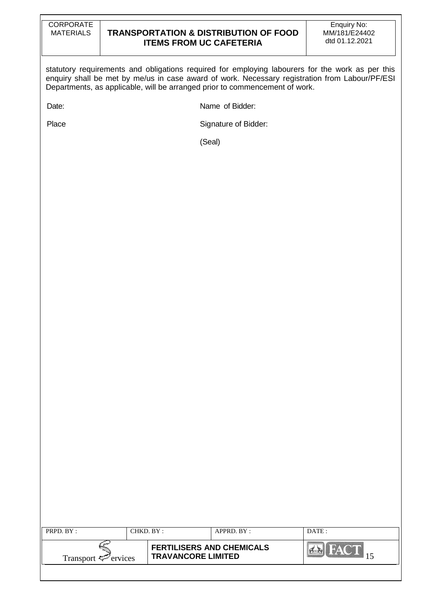| CORPORATE |
|-----------|
| MATERIALS |

statutory requirements and obligations required for employing labourers for the work as per this enquiry shall be met by me/us in case award of work. Necessary registration from Labour/PF/ESI Departments, as applicable, will be arranged prior to commencement of work.

Date: **Name of Bidder:** 

Place Signature of Bidder:

(Seal)

| PRPD. BY:                       | CHKD. BY: |                                                               | APPRD. BY: | DATE:        |
|---------------------------------|-----------|---------------------------------------------------------------|------------|--------------|
| Transport $\mathcal{F}$ ervices |           | <b>FERTILISERS AND CHEMICALS</b><br><b>TRAVANCORE LIMITED</b> |            | <b>PLANN</b> |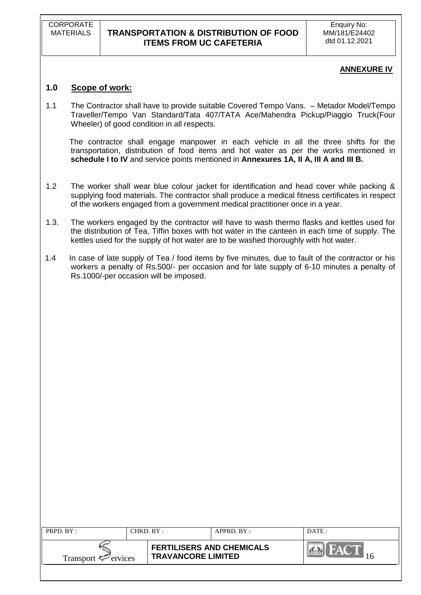### **ANNEXURE IV**

# **1.0 Scope of work:**

1.1 The Contractor shall have to provide suitable Covered Tempo Vans. – Metador Model/Tempo Traveller/Tempo Van Standard/Tata 407/TATA Ace/Mahendra Pickup/Piaggio Truck(Four Wheeler) of good condition in all respects.

 The contractor shall engage manpower in each vehicle in all the three shifts for the transportation, distribution of food items and hot water as per the works mentioned in **schedule I to IV** and service points mentioned in **Annexures 1A, II A, III A and III B.**

- 1.2 The worker shall wear blue colour jacket for identification and head cover while packing & supplying food materials. The contractor shall produce a medical fitness certificates in respect of the workers engaged from a government medical practitioner once in a year.
- 1.3. The workers engaged by the contractor will have to wash thermo flasks and kettles used for the distribution of Tea, Tiffin boxes with hot water in the canteen in each time of supply. The kettles used for the supply of hot water are to be washed thoroughly with hot water.
- 1.4 In case of late supply of Tea / food items by five minutes, due to fault of the contractor or his workers a penalty of Rs.500/- per occasion and for late supply of 6-10 minutes a penalty of Rs.1000/-per occasion will be imposed.

| <b>FERTILISERS AND CHEMICALS</b><br><b>TRAVANCORE LIMITED</b><br>Transport $\mathcal{F}$ ervices | PRPD. BY: | $\mathop{\rm CHKD\_BY}$ : | $APPRD$ $BY:$ | DATE: |
|--------------------------------------------------------------------------------------------------|-----------|---------------------------|---------------|-------|
|                                                                                                  |           |                           |               |       |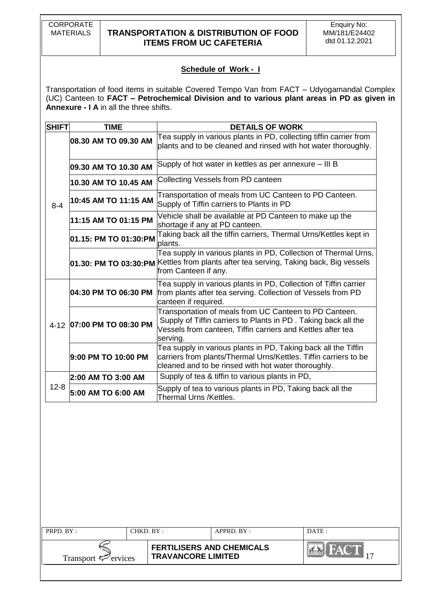CORPORATE<br>MATERIALS

# **TRANSPORTATION & DISTRIBUTION OF FOOD ITEMS FROM UC CAFETERIA**

# **Schedule of Work - I**

Transportation of food items in suitable Covered Tempo Van from FACT – Udyogamandal Complex (UC) Canteen to **FACT – Petrochemical Division and to various plant areas in PD as given in Annexure - I A** in all the three shifts.

| <b>SHIFT</b> | <b>TIME</b>               | <b>DETAILS OF WORK</b>                                                                                                                                                                              |
|--------------|---------------------------|-----------------------------------------------------------------------------------------------------------------------------------------------------------------------------------------------------|
|              | 08.30 AM TO 09.30 AM      | Tea supply in various plants in PD, collecting tiffin carrier from<br>plants and to be cleaned and rinsed with hot water thoroughly.                                                                |
|              | 09.30 AM TO 10.30 AM      | Supply of hot water in kettles as per annexure - III B                                                                                                                                              |
|              | 10.30 AM TO 10.45 AM      | Collecting Vessels from PD canteen                                                                                                                                                                  |
| $8 - 4$      | 10:45 AM TO 11:15 AM      | Transportation of meals from UC Canteen to PD Canteen.<br>Supply of Tiffin carriers to Plants in PD                                                                                                 |
|              | 11:15 AM TO 01:15 PM      | Vehicle shall be available at PD Canteen to make up the<br>shortage if any at PD canteen.                                                                                                           |
|              | 01.15: PM TO 01:30:PM     | Taking back all the tiffin carriers, Thermal Urns/Kettles kept in<br>plants.                                                                                                                        |
|              |                           | Tea supply in various plants in PD, Collection of Thermal Urns,<br>01.30: PM TO 03:30:PM Kettles from plants after tea serving, Taking back, Big vessels<br>from Canteen if any.                    |
|              | 04:30 PM TO 06:30 PM      | Tea supply in various plants in PD, Collection of Tiffin carrier<br>from plants after tea serving. Collection of Vessels from PD<br>canteen if required.                                            |
|              | 4-12 07:00 PM TO 08:30 PM | Transportation of meals from UC Canteen to PD Canteen.<br>Supply of Tiffin carriers to Plants in PD. Taking back all the<br>Vessels from canteen, Tiffin carriers and Kettles after tea<br>serving. |
|              | 9:00 PM TO 10:00 PM       | Tea supply in various plants in PD, Taking back all the Tiffin<br>carriers from plants/Thermal Urns/Kettles. Tiffin carriers to be<br>cleaned and to be rinsed with hot water thoroughly.           |
|              | 2:00 AM TO 3:00 AM        | Supply of tea & tiffin to various plants in PD,                                                                                                                                                     |
| $12 - 8$     | 5:00 AM TO 6:00 AM        | Supply of tea to various plants in PD, Taking back all the<br>Thermal Urns /Kettles.                                                                                                                |

| PRPD. BY:<br>CHKD. BY:          |  | $APPRD$ . BY :                                                | DATE: |            |
|---------------------------------|--|---------------------------------------------------------------|-------|------------|
| Transport $\mathcal{F}$ ervices |  | <b>FERTILISERS AND CHEMICALS</b><br><b>TRAVANCORE LIMITED</b> |       | <b>NAV</b> |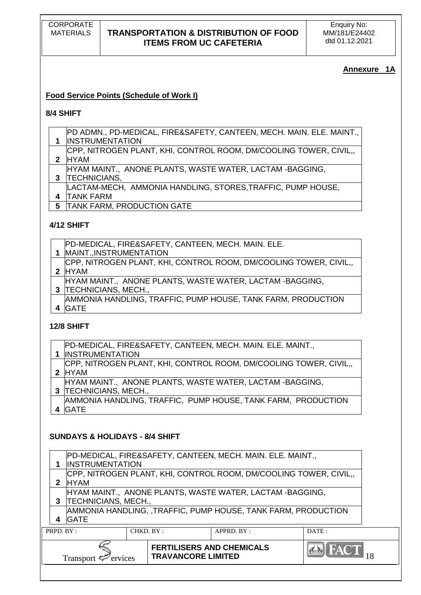# **Annexure 1A**

# **Food Service Points (Schedule of Work I)**

### **8/4 SHIFT**

- PD ADMN., PD-MEDICAL, FIRE&SAFETY, CANTEEN, MECH. MAIN. ELE. MAINT.,
- **1** INSTRUMENTATION
- **2** HYAM CPP, NITROGEN PLANT, KHI, CONTROL ROOM, DM/COOLING TOWER, CIVIL,,
- HYAM MAINT., ANONE PLANTS, WASTE WATER, LACTAM -BAGGING,
- **3** TECHNICIANS,
- **4** LACTAM-MECH, AMMONIA HANDLING, STORES,TRAFFIC, PUMP HOUSE, TANK FARM
- **5** TANK FARM, PRODUCTION GATE

# **4/12 SHIFT**

| PD-MEDICAL, FIRE&SAFETY, CANTEEN, MECH. MAIN. ELE.                 |
|--------------------------------------------------------------------|
| 1  MAINT., INSTRUMENTATION                                         |
| CPP, NITROGEN PLANT, KHI, CONTROL ROOM, DM/COOLING TOWER, CIVIL,   |
| 2 HYAM                                                             |
| HYAM MAINT., ANONE PLANTS, WASTE WATER, LACTAM -BAGGING,           |
| 3 TECHNICIANS, MECH.,                                              |
| IA MACAILA LIANDI INO TOAFFIO DUMO LIQUOF TANIZ FADIA DOQDILOTIONI |

**4** GATE AMMONIA HANDLING, TRAFFIC, PUMP HOUSE, TANK FARM, PRODUCTION

# **12/8 SHIFT**

| PD-MEDICAL, FIRE&SAFETY, CANTEEN, MECH. MAIN. ELE. MAINT.,       |
|------------------------------------------------------------------|
| <b>INSTRUMENTATION</b>                                           |
| CPP, NITROGEN PLANT, KHI, CONTROL ROOM, DM/COOLING TOWER, CIVIL, |
| 2 HYAM                                                           |
| HYAM MAINT., ANONE PLANTS, WASTE WATER, LACTAM -BAGGING,         |
| 3  TECHNICIANS, MECH.,                                           |
| AMMONIA HANDLING, TRAFFIC, PUMP HOUSE, TANK FARM, PRODUCTION     |
| GATE                                                             |

# **SUNDAYS & HOLIDAYS - 8/4 SHIFT**

| 4            | AMMONIA HANDLING, ,TRAFFIC, PUMP HOUSE, TANK FARM, PRODUCTION<br><b>GATE</b><br>PRPD. BY:<br>CHKD. BY:<br>DATA<br>APPRD. BY:                                             |  |  |  |  |  |
|--------------|--------------------------------------------------------------------------------------------------------------------------------------------------------------------------|--|--|--|--|--|
| 3            | HYAM MAINT., ANONE PLANTS, WASTE WATER, LACTAM -BAGGING,<br><b>TECHNICIANS, MECH.,</b>                                                                                   |  |  |  |  |  |
| $\mathbf{2}$ | PD-MEDICAL, FIRE&SAFETY, CANTEEN, MECH. MAIN. ELE. MAINT.,<br><b>INSTRUMENTATION</b><br>CPP, NITROGEN PLANT, KHI, CONTROL ROOM, DM/COOLING TOWER, CIVIL,,<br><b>HYAM</b> |  |  |  |  |  |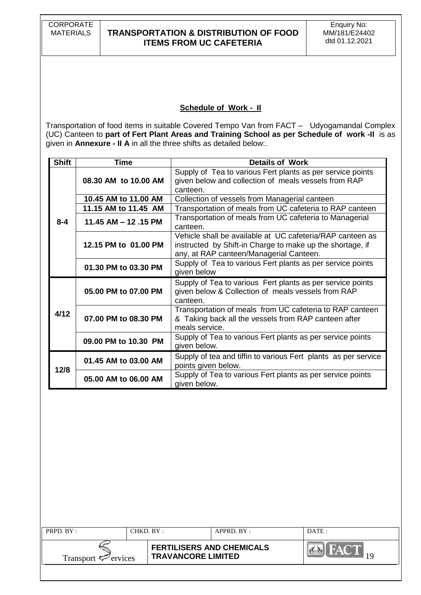CORPORATE<br>MATERIALS

# **TRANSPORTATION & DISTRIBUTION OF FOOD ITEMS FROM UC CAFETERIA**

### **Schedule of Work - II**

Transportation of food items in suitable Covered Tempo Van from FACT – Udyogamandal Complex (UC) Canteen to **part of Fert Plant Areas and Training School as per Schedule of work -II** is as given in **Annexure - II A** in all the three shifts as detailed below:.

| <b>Shift</b> | Time                   | <b>Details of Work</b>                                                                                                                                            |
|--------------|------------------------|-------------------------------------------------------------------------------------------------------------------------------------------------------------------|
|              | 08.30 AM to 10.00 AM   | Supply of Tea to various Fert plants as per service points<br>given below and collection of meals vessels from RAP<br>canteen.                                    |
|              | 10.45 AM to 11.00 AM   | Collection of vessels from Managerial canteen                                                                                                                     |
|              | 11.15 AM to 11.45 AM   | Transportation of meals from UC cafeteria to RAP canteen                                                                                                          |
| $8 - 4$      | 11.45 AM $-$ 12 .15 PM | Transportation of meals from UC cafeteria to Managerial<br>canteen.                                                                                               |
|              | 12.15 PM to 01.00 PM   | Vehicle shall be available at UC cafeteria/RAP canteen as<br>instructed by Shift-in Charge to make up the shortage, if<br>any, at RAP canteen/Managerial Canteen. |
|              | 01.30 PM to 03.30 PM   | Supply of Tea to various Fert plants as per service points<br>given below                                                                                         |
|              | 05.00 PM to 07.00 PM   | Supply of Tea to various Fert plants as per service points<br>given below & Collection of meals vessels from RAP<br>canteen.                                      |
| 4/12         | 07.00 PM to 08.30 PM   | Transportation of meals from UC cafeteria to RAP canteen<br>& Taking back all the vessels from RAP canteen after<br>meals service.                                |
|              | 09.00 PM to 10.30 PM   | Supply of Tea to various Fert plants as per service points<br>given below.                                                                                        |
|              | 01.45 AM to 03.00 AM   | Supply of tea and tiffin to various Fert plants as per service<br>points given below.                                                                             |
| 12/8         | 05.00 AM to 06.00 AM   | Supply of Tea to various Fert plants as per service points<br>given below.                                                                                        |

| PRPD. BY:                       |  | CHKD. BY :                                                    | $APPRD$ $BY$ : | DATE: |
|---------------------------------|--|---------------------------------------------------------------|----------------|-------|
| Transport $\mathcal{F}$ ervices |  | <b>FERTILISERS AND CHEMICALS</b><br><b>TRAVANCORE LIMITED</b> |                |       |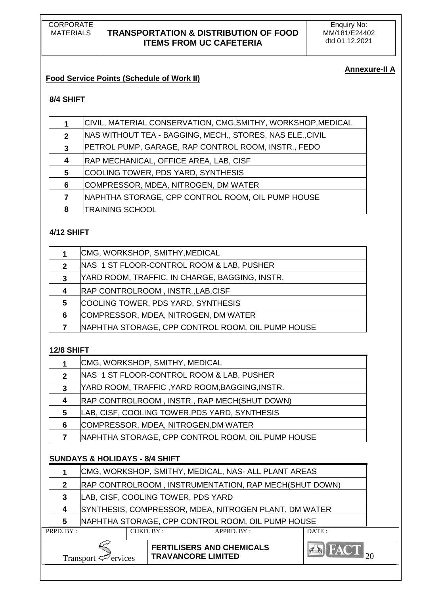# **Annexure-II A**

# **Food Service Points (Schedule of Work II)**

# **8/4 SHIFT**

|              | CIVIL, MATERIAL CONSERVATION, CMG, SMITHY, WORKSHOP, MEDICAL |
|--------------|--------------------------------------------------------------|
| $\mathbf{2}$ | NAS WITHOUT TEA - BAGGING, MECH., STORES, NAS ELE., CIVIL    |
| 3            | PETROL PUMP, GARAGE, RAP CONTROL ROOM, INSTR., FEDO          |
| 4            | <b>RAP MECHANICAL, OFFICE AREA, LAB, CISF</b>                |
| 5            | COOLING TOWER, PDS YARD, SYNTHESIS                           |
| 6            | COMPRESSOR, MDEA, NITROGEN, DM WATER                         |
|              | NAPHTHA STORAGE, CPP CONTROL ROOM, OIL PUMP HOUSE            |
| 8            | <b>TRAINING SCHOOL</b>                                       |

# **4/12 SHIFT**

|   | CMG, WORKSHOP, SMITHY, MEDICAL                    |
|---|---------------------------------------------------|
| 2 | NAS 1 ST FLOOR-CONTROL ROOM & LAB, PUSHER         |
| 3 | YARD ROOM, TRAFFIC, IN CHARGE, BAGGING, INSTR.    |
| 4 | RAP CONTROLROOM, INSTR., LAB, CISF                |
| 5 | COOLING TOWER, PDS YARD, SYNTHESIS                |
| 6 | COMPRESSOR, MDEA, NITROGEN, DM WATER              |
|   | NAPHTHA STORAGE, CPP CONTROL ROOM, OIL PUMP HOUSE |
|   |                                                   |

### **12/8 SHIFT**

|              | CMG, WORKSHOP, SMITHY, MEDICAL                    |
|--------------|---------------------------------------------------|
| $\mathbf{2}$ | NAS 1 ST FLOOR-CONTROL ROOM & LAB, PUSHER         |
| 3            | YARD ROOM, TRAFFIC ,YARD ROOM,BAGGING,INSTR.      |
| 4            | RAP CONTROLROOM, INSTR., RAP MECH(SHUT DOWN)      |
| 5            | LAB, CISF, COOLING TOWER, PDS YARD, SYNTHESIS     |
| 6            | COMPRESSOR, MDEA, NITROGEN, DM WATER              |
|              | NAPHTHA STORAGE, CPP CONTROL ROOM, OIL PUMP HOUSE |

# **SUNDAYS & HOLIDAYS - 8/4 SHIFT**

|                         | Transport $\leq$ ervices |                                                       |  | <b>FERTILISERS AND CHEMICALS</b><br><b>TRAVANCORE LIMITED</b> |            | $AA$ $FACT$ <sub>24</sub> |  |
|-------------------------|--------------------------|-------------------------------------------------------|--|---------------------------------------------------------------|------------|---------------------------|--|
| PRPD. BY :<br>CHKD. BY: |                          |                                                       |  |                                                               | APPRD. BY: | DATE:                     |  |
|                         | 5                        | NAPHTHA STORAGE, CPP CONTROL ROOM, OIL PUMP HOUSE     |  |                                                               |            |                           |  |
|                         |                          | SYNTHESIS, COMPRESSOR, MDEA, NITROGEN PLANT, DM WATER |  |                                                               |            |                           |  |
|                         | 3                        |                                                       |  | LAB, CISF, COOLING TOWER, PDS YARD                            |            |                           |  |
|                         |                          | RAP CONTROLROOM, INSTRUMENTATION, RAP MECH(SHUT DOWN) |  |                                                               |            |                           |  |
|                         |                          | CMG, WORKSHOP, SMITHY, MEDICAL, NAS-ALL PLANT AREAS   |  |                                                               |            |                           |  |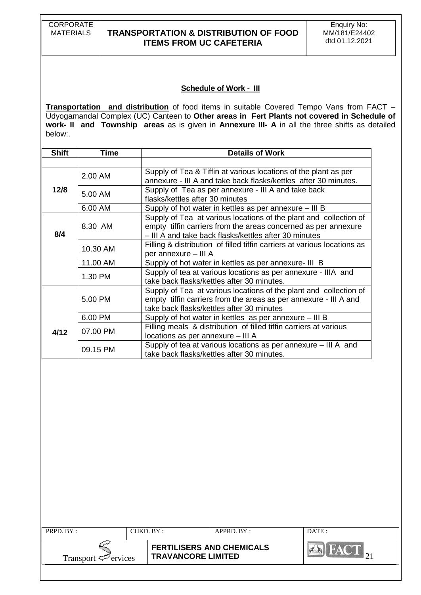CORPORATE<br>MATERIALS

# **TRANSPORTATION & DISTRIBUTION OF FOOD ITEMS FROM UC CAFETERIA**

### **Schedule of Work - III**

**Transportation and distribution** of food items in suitable Covered Tempo Vans from FACT – Udyogamandal Complex (UC) Canteen to **Other areas in Fert Plants not covered in Schedule of work- II and Township areas** as is given in **Annexure III- A** in all the three shifts as detailed below:.

| <b>Shift</b> | Time                                                                                                                   | <b>Details of Work</b>                                                                                                                                                                       |  |  |
|--------------|------------------------------------------------------------------------------------------------------------------------|----------------------------------------------------------------------------------------------------------------------------------------------------------------------------------------------|--|--|
|              |                                                                                                                        |                                                                                                                                                                                              |  |  |
|              | 2.00 AM                                                                                                                | Supply of Tea & Tiffin at various locations of the plant as per<br>annexure - III A and take back flasks/kettles after 30 minutes.                                                           |  |  |
| 12/8         | 5.00 AM                                                                                                                | Supply of Tea as per annexure - III A and take back<br>flasks/kettles after 30 minutes                                                                                                       |  |  |
|              | 6.00 AM                                                                                                                | Supply of hot water in kettles as per annexure – III B                                                                                                                                       |  |  |
| 8/4          | 8.30 AM                                                                                                                | Supply of Tea at various locations of the plant and collection of<br>empty tiffin carriers from the areas concerned as per annexure<br>- III A and take back flasks/kettles after 30 minutes |  |  |
|              | 10.30 AM                                                                                                               | Filling & distribution of filled tiffin carriers at various locations as<br>per annexure - III A                                                                                             |  |  |
|              | 11.00 AM                                                                                                               | Supply of hot water in kettles as per annexure- III B                                                                                                                                        |  |  |
|              | Supply of tea at various locations as per annexure - IIIA and<br>1.30 PM<br>take back flasks/kettles after 30 minutes. |                                                                                                                                                                                              |  |  |
|              | 5.00 PM                                                                                                                | Supply of Tea at various locations of the plant and collection of<br>empty tiffin carriers from the areas as per annexure - III A and<br>take back flasks/kettles after 30 minutes           |  |  |
|              | 6.00 PM                                                                                                                | Supply of hot water in kettles as per annexure – III B                                                                                                                                       |  |  |
| 4/12         | 07.00 PM                                                                                                               | Filling meals & distribution of filled tiffin carriers at various<br>locations as per annexure - III A                                                                                       |  |  |
|              | 09.15 PM                                                                                                               | Supply of tea at various locations as per annexure – III A and<br>take back flasks/kettles after 30 minutes.                                                                                 |  |  |

| PRPD. BY:<br>CHKD. BY :         |  |                                                               | $APPRD$ $RY$ : | DATE:   |
|---------------------------------|--|---------------------------------------------------------------|----------------|---------|
| Transport $\mathcal{F}$ ervices |  | <b>FERTILISERS AND CHEMICALS</b><br><b>TRAVANCORE LIMITED</b> |                | $P = R$ |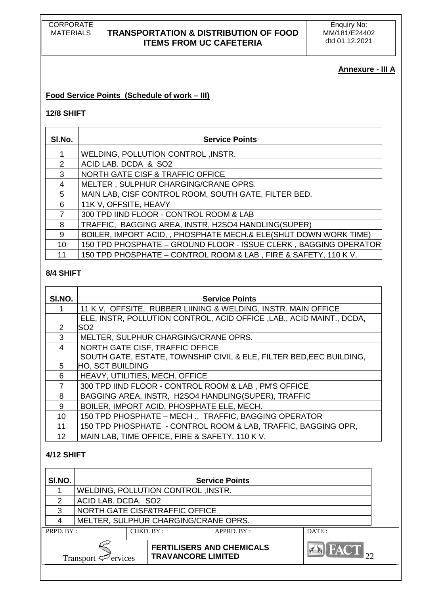# **Annexure - III A**

### **Food Service Points (Schedule of work – III)**

### **12/8 SHIFT**

| SI.No.        | <b>Service Points</b>                                            |
|---------------|------------------------------------------------------------------|
|               | <b>WELDING, POLLUTION CONTROL, INSTR.</b>                        |
| $\mathcal{P}$ | ACID LAB. DCDA & SO2                                             |
| 3             | <b>NORTH GATE CISF &amp; TRAFFIC OFFICE</b>                      |
| 4             | MELTER, SULPHUR CHARGING/CRANE OPRS.                             |
| 5.            | MAIN LAB, CISF CONTROL ROOM, SOUTH GATE, FILTER BED.             |
| 6             | 11K V, OFFSITE, HEAVY                                            |
|               | 300 TPD IIND FLOOR - CONTROL ROOM & LAB                          |
| 8             | TRAFFIC, BAGGING AREA, INSTR, H2SO4 HANDLING(SUPER)              |
| 9             | BOILER, IMPORT ACID, , PHOSPHATE MECH.& ELE(SHUT DOWN WORK TIME) |
| 10            | 150 TPD PHOSPHATE - GROUND FLOOR - ISSUE CLERK, BAGGING OPERATOR |
| 11            | 150 TPD PHOSPHATE - CONTROL ROOM & LAB, FIRE & SAFETY, 110 KV,   |

### **8/4 SHIFT**

| SI.NO. | <b>Service Points</b>                                                |
|--------|----------------------------------------------------------------------|
|        | 11 K V, OFFSITE, RUBBER LIINING & WELDING, INSTR. MAIN OFFICE        |
|        | ELE, INSTR, POLLUTION CONTROL, ACID OFFICE, LAB., ACID MAINT., DCDA, |
| 2      | SO <sub>2</sub>                                                      |
| 3      | MELTER, SULPHUR CHARGING/CRANE OPRS.                                 |
| 4      | NORTH GATE CISF, TRAFFIC OFFICE                                      |
|        | SOUTH GATE, ESTATE, TOWNSHIP CIVIL & ELE, FILTER BED, EEC BUILDING,  |
| 5      | <b>HO, SCT BUILDING</b>                                              |
| 6      | HEAVY, UTILITIES, MECH. OFFICE                                       |
|        | 300 TPD IIND FLOOR - CONTROL ROOM & LAB, PM'S OFFICE                 |
| 8      | BAGGING AREA, INSTR, H2SO4 HANDLING(SUPER), TRAFFIC                  |
| 9      | BOILER, IMPORT ACID, PHOSPHATE ELE, MECH.                            |
| 10     | 150 TPD PHOSPHATE - MECH., TRAFFIC, BAGGING OPERATOR                 |
| 11     | 150 TPD PHOSPHATE - CONTROL ROOM & LAB, TRAFFIC, BAGGING OPR,        |
| 12     | MAIN LAB, TIME OFFICE, FIRE & SAFETY, 110 KV,                        |

# **4/12 SHIFT**

| SI.NO.    | <b>Service Points</b>                     |                                                               |            |             |  |  |
|-----------|-------------------------------------------|---------------------------------------------------------------|------------|-------------|--|--|
|           | <b>WELDING, POLLUTION CONTROL, INSTR.</b> |                                                               |            |             |  |  |
| 2         |                                           | ACID LAB. DCDA, SO2                                           |            |             |  |  |
| 3         | NORTH GATE CISF&TRAFFIC OFFICE            |                                                               |            |             |  |  |
|           | MELTER, SULPHUR CHARGING/CRANE OPRS.      |                                                               |            |             |  |  |
| PRPD. BY: |                                           | CHKD. BY:                                                     | APPRD. BY: | DATE:       |  |  |
|           | Transport $\mathcal{F}$ ervices           | <b>FERTILISERS AND CHEMICALS</b><br><b>TRAVANCORE LIMITED</b> |            | <b>FACT</b> |  |  |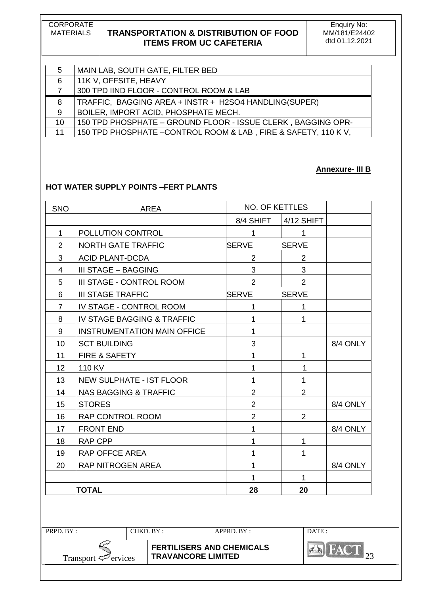CORPORATE<br>MATERIALS

# **TRANSPORTATION & DISTRIBUTION OF FOOD ITEMS FROM UC CAFETERIA**

Enquiry No: MM/181/E24402 dtd 01.12.2021

| 5  | MAIN LAB, SOUTH GATE, FILTER BED                               |
|----|----------------------------------------------------------------|
| 6  | 11K V, OFFSITE, HEAVY                                          |
|    | 300 TPD IIND FLOOR - CONTROL ROOM & LAB                        |
| 8  | TRAFFIC, BAGGING AREA + INSTR + H2SO4 HANDLING(SUPER)          |
| 9  | BOILER, IMPORT ACID, PHOSPHATE MECH.                           |
| 10 | 150 TPD PHOSPHATE - GROUND FLOOR - ISSUE CLERK, BAGGING OPR-   |
| 11 | 150 TPD PHOSPHATE - CONTROL ROOM & LAB, FIRE & SAFETY, 110 KV, |

#### **Annexure- III B**

### **HOT WATER SUPPLY POINTS –FERT PLANTS**

| <b>SNO</b>      | <b>AREA</b>                           | <b>NO. OF KETTLES</b> |                |          |
|-----------------|---------------------------------------|-----------------------|----------------|----------|
|                 |                                       | 8/4 SHIFT             | 4/12 SHIFT     |          |
| $\mathbf{1}$    | POLLUTION CONTROL                     | $\mathbf{1}$          | $\mathbf 1$    |          |
| $\overline{2}$  | <b>NORTH GATE TRAFFIC</b>             | <b>SERVE</b>          | <b>SERVE</b>   |          |
| 3               | <b>ACID PLANT-DCDA</b>                | 2                     | $\overline{2}$ |          |
| $\overline{4}$  | III STAGE - BAGGING                   | 3                     | 3              |          |
| 5               | III STAGE - CONTROL ROOM              | $\overline{2}$        | $\overline{2}$ |          |
| 6               | <b>III STAGE TRAFFIC</b>              | <b>SERVE</b>          | <b>SERVE</b>   |          |
| $\overline{7}$  | IV STAGE - CONTROL ROOM               | $\mathbf{1}$          | $\mathbf{1}$   |          |
| 8               | <b>IV STAGE BAGGING &amp; TRAFFIC</b> | 1                     | 1              |          |
| 9               | <b>INSTRUMENTATION MAIN OFFICE</b>    | $\mathbf{1}$          |                |          |
| 10              | <b>SCT BUILDING</b>                   | 3                     |                | 8/4 ONLY |
| 11              | FIRE & SAFETY                         | $\mathbf{1}$          | $\mathbf{1}$   |          |
| 12 <sup>2</sup> | 110 KV                                | 1                     | 1              |          |
| 13              | <b>NEW SULPHATE - IST FLOOR</b>       | 1                     | 1              |          |
| 14              | <b>NAS BAGGING &amp; TRAFFIC</b>      | $\overline{2}$        | $\overline{2}$ |          |
| 15              | <b>STORES</b>                         | $\overline{2}$        |                | 8/4 ONLY |
| 16              | RAP CONTROL ROOM                      | $\overline{2}$        | $\overline{2}$ |          |
| 17              | <b>FRONT END</b>                      | $\mathbf{1}$          |                | 8/4 ONLY |
| 18              | <b>RAP CPP</b>                        | $\mathbf{1}$          | $\mathbf{1}$   |          |
| 19              | RAP OFFCE AREA                        | $\mathbf{1}$          | $\mathbf{1}$   |          |
| 20              | RAP NITROGEN AREA                     | $\mathbf{1}$          |                | 8/4 ONLY |
|                 |                                       | 1                     | 1              |          |
|                 | <b>TOTAL</b>                          | 28                    | 20             |          |
|                 |                                       |                       |                |          |
|                 |                                       |                       |                |          |

| PRPD. BY:                       | CHKD. BY : |                                                               | APPRD. BY: | DATE:  |
|---------------------------------|------------|---------------------------------------------------------------|------------|--------|
| Transport $\mathcal{F}$ ervices |            | <b>FERTILISERS AND CHEMICALS</b><br><b>TRAVANCORE LIMITED</b> |            | $-W_A$ |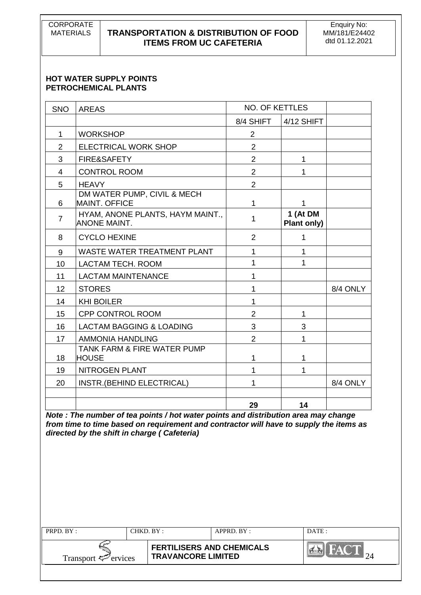CORPORATE<br>MATERIALS

# **TRANSPORTATION & DISTRIBUTION OF FOOD ITEMS FROM UC CAFETERIA**

Enquiry No: MM/181/E24402 dtd 01.12.2021

#### **HOT WATER SUPPLY POINTS PETROCHEMICAL PLANTS**

| <b>SNO</b>     | <b>AREAS</b>                                            | <b>NO. OF KETTLES</b> |                         |          |
|----------------|---------------------------------------------------------|-----------------------|-------------------------|----------|
|                |                                                         |                       |                         |          |
|                |                                                         | 8/4 SHIFT             | 4/12 SHIFT              |          |
| $\mathbf 1$    | <b>WORKSHOP</b>                                         | $\overline{2}$        |                         |          |
| $\overline{2}$ | <b>ELECTRICAL WORK SHOP</b>                             | $\overline{2}$        |                         |          |
| 3              | FIRE&SAFETY                                             | $\overline{2}$        | 1                       |          |
| $\overline{4}$ | <b>CONTROL ROOM</b>                                     | $\overline{2}$        | 1                       |          |
| 5              | <b>HEAVY</b>                                            | $\overline{2}$        |                         |          |
| 6              | DM WATER PUMP, CIVIL & MECH<br><b>MAINT. OFFICE</b>     | 1                     | 1                       |          |
| $\overline{7}$ | HYAM, ANONE PLANTS, HAYM MAINT.,<br><b>ANONE MAINT.</b> | 1                     | 1 (At DM<br>Plant only) |          |
| 8              | <b>CYCLO HEXINE</b>                                     | $\overline{2}$        | 1                       |          |
| 9              | <b>WASTE WATER TREATMENT PLANT</b>                      | 1                     | 1                       |          |
| 10             | LACTAM TECH. ROOM                                       | 1                     | 1                       |          |
| 11             | <b>LACTAM MAINTENANCE</b>                               | 1                     |                         |          |
| 12             | <b>STORES</b>                                           | 1                     |                         | 8/4 ONLY |
| 14             | <b>KHI BOILER</b>                                       | 1                     |                         |          |
| 15             | CPP CONTROL ROOM                                        | $\overline{2}$        | 1                       |          |
| 16             | <b>LACTAM BAGGING &amp; LOADING</b>                     | 3                     | 3                       |          |
| 17             | <b>AMMONIA HANDLING</b>                                 | $\overline{2}$        | 1                       |          |
| 18             | <b>TANK FARM &amp; FIRE WATER PUMP</b><br><b>HOUSE</b>  | 1                     | 1                       |          |
| 19             | NITROGEN PLANT                                          | 1                     | 1                       |          |
| 20             | INSTR.(BEHIND ELECTRICAL)                               | 1                     |                         | 8/4 ONLY |
|                |                                                         | 29                    | 14                      |          |

*Note : The number of tea points / hot water points and distribution area may change from time to time based on requirement and contractor will have to supply the items as directed by the shift in charge ( Cafeteria)* 

| PRPD. BY:                       | CHKD. BY: |                           | APPRD. BY:                       | DATE: |
|---------------------------------|-----------|---------------------------|----------------------------------|-------|
| Transport $\mathcal{P}$ ervices |           | <b>TRAVANCORE LIMITED</b> | <b>FERTILISERS AND CHEMICALS</b> |       |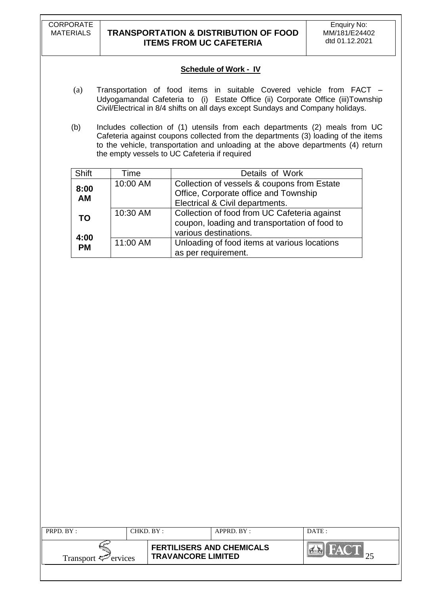CORPORATE

# **TRANSPORTATION & DISTRIBUTION OF FOOD ITEMS FROM UC CAFETERIA**

### **Schedule of Work - IV**

- (a) Transportation of food items in suitable Covered vehicle from FACT Udyogamandal Cafeteria to (i) Estate Office (ii) Corporate Office (iii)Township Civil/Electrical in 8/4 shifts on all days except Sundays and Company holidays.
- (b) Includes collection of (1) utensils from each departments (2) meals from UC Cafeteria against coupons collected from the departments (3) loading of the items to the vehicle, transportation and unloading at the above departments (4) return the empty vessels to UC Cafeteria if required

| Shift             | Time     | Details of Work                                                                                                         |
|-------------------|----------|-------------------------------------------------------------------------------------------------------------------------|
| 8:00<br><b>AM</b> | 10:00 AM | Collection of vessels & coupons from Estate<br>Office, Corporate office and Township<br>Electrical & Civil departments. |
| <b>TO</b>         | 10:30 AM | Collection of food from UC Cafeteria against<br>coupon, loading and transportation of food to<br>various destinations.  |
| 4:00<br><b>PM</b> | 11:00 AM | Unloading of food items at various locations<br>as per requirement.                                                     |

| PRPD. BY:                       | CHKD. BY :                                                    | APPRD. BY: | DATE: |
|---------------------------------|---------------------------------------------------------------|------------|-------|
| Transport $\mathcal{F}$ ervices | <b>FERTILISERS AND CHEMICALS</b><br><b>TRAVANCORE LIMITED</b> |            |       |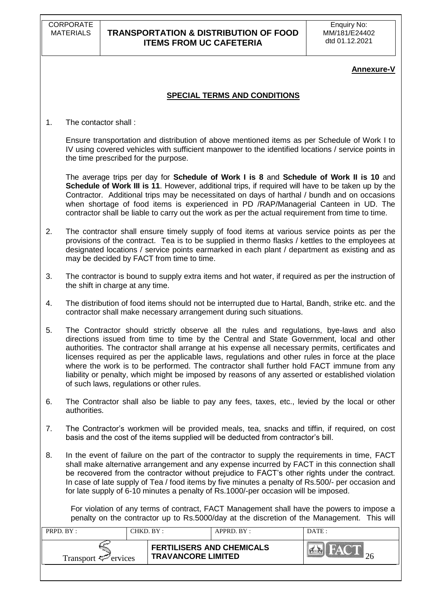CORPORATE<br>MATERIALS

# **TRANSPORTATION & DISTRIBUTION OF FOOD ITEMS FROM UC CAFETERIA**

### **Annexure-V**

### **SPECIAL TERMS AND CONDITIONS**

1. The contactor shall :

Ensure transportation and distribution of above mentioned items as per Schedule of Work I to IV using covered vehicles with sufficient manpower to the identified locations / service points in the time prescribed for the purpose.

 The average trips per day for **Schedule of Work I is 8** and **Schedule of Work II is 10** and **Schedule of Work III is 11**. However, additional trips, if required will have to be taken up by the Contractor. Additional trips may be necessitated on days of harthal / bundh and on occasions when shortage of food items is experienced in PD /RAP/Managerial Canteen in UD. The contractor shall be liable to carry out the work as per the actual requirement from time to time.

- 2. The contractor shall ensure timely supply of food items at various service points as per the provisions of the contract. Tea is to be supplied in thermo flasks / kettles to the employees at designated locations / service points earmarked in each plant / department as existing and as may be decided by FACT from time to time.
- 3. The contractor is bound to supply extra items and hot water, if required as per the instruction of the shift in charge at any time.
- 4. The distribution of food items should not be interrupted due to Hartal, Bandh, strike etc. and the contractor shall make necessary arrangement during such situations.
- 5. The Contractor should strictly observe all the rules and regulations, bye-laws and also directions issued from time to time by the Central and State Government, local and other authorities. The contractor shall arrange at his expense all necessary permits, certificates and licenses required as per the applicable laws, regulations and other rules in force at the place where the work is to be performed. The contractor shall further hold FACT immune from any liability or penalty, which might be imposed by reasons of any asserted or established violation of such laws, regulations or other rules.
- 6. The Contractor shall also be liable to pay any fees, taxes, etc., levied by the local or other authorities.
- 7. The Contractor"s workmen will be provided meals, tea, snacks and tiffin, if required, on cost basis and the cost of the items supplied will be deducted from contractor"s bill.
- 8. In the event of failure on the part of the contractor to supply the requirements in time, FACT shall make alternative arrangement and any expense incurred by FACT in this connection shall be recovered from the contractor without prejudice to FACT"s other rights under the contract. In case of late supply of Tea / food items by five minutes a penalty of Rs.500/- per occasion and for late supply of 6-10 minutes a penalty of Rs.1000/-per occasion will be imposed.

 For violation of any terms of contract, FACT Management shall have the powers to impose a penalty on the contractor up to Rs.5000/day at the discretion of the Management. This will

| <b>PRPD.</b> $BY:$              | CHKD. BY: |                                                               | $APPRD$ $BY:$ | DATE: |
|---------------------------------|-----------|---------------------------------------------------------------|---------------|-------|
| Transport $\mathcal{F}$ ervices |           | <b>FERTILISERS AND CHEMICALS</b><br><b>TRAVANCORE LIMITED</b> |               |       |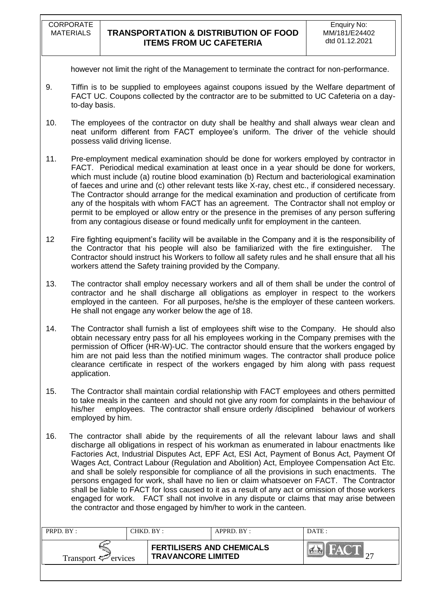however not limit the right of the Management to terminate the contract for non-performance.

- 9. Tiffin is to be supplied to employees against coupons issued by the Welfare department of FACT UC. Coupons collected by the contractor are to be submitted to UC Cafeteria on a dayto-day basis.
- 10. The employees of the contractor on duty shall be healthy and shall always wear clean and neat uniform different from FACT employee's uniform. The driver of the vehicle should possess valid driving license.
- 11. Pre-employment medical examination should be done for workers employed by contractor in FACT. Periodical medical examination at least once in a year should be done for workers, which must include (a) routine blood examination (b) Rectum and bacteriological examination of faeces and urine and (c) other relevant tests like X-ray, chest etc., if considered necessary. The Contractor should arrange for the medical examination and production of certificate from any of the hospitals with whom FACT has an agreement. The Contractor shall not employ or permit to be employed or allow entry or the presence in the premises of any person suffering from any contagious disease or found medically unfit for employment in the canteen.
- 12 Fire fighting equipment"s facility will be available in the Company and it is the responsibility of the Contractor that his people will also be familiarized with the fire extinguisher. The Contractor should instruct his Workers to follow all safety rules and he shall ensure that all his workers attend the Safety training provided by the Company.
- 13. The contractor shall employ necessary workers and all of them shall be under the control of contractor and he shall discharge all obligations as employer in respect to the workers employed in the canteen. For all purposes, he/she is the employer of these canteen workers. He shall not engage any worker below the age of 18.
- 14. The Contractor shall furnish a list of employees shift wise to the Company. He should also obtain necessary entry pass for all his employees working in the Company premises with the permission of Officer (HR-W)-UC. The contractor should ensure that the workers engaged by him are not paid less than the notified minimum wages. The contractor shall produce police clearance certificate in respect of the workers engaged by him along with pass request application.
- 15. The Contractor shall maintain cordial relationship with FACT employees and others permitted to take meals in the canteen and should not give any room for complaints in the behaviour of his/her employees. The contractor shall ensure orderly /disciplined behaviour of workers employed by him.
- 16. The contractor shall abide by the requirements of all the relevant labour laws and shall discharge all obligations in respect of his workman as enumerated in labour enactments like Factories Act, Industrial Disputes Act, EPF Act, ESI Act, Payment of Bonus Act, Payment Of Wages Act, Contract Labour (Regulation and Abolition) Act, Employee Compensation Act Etc. and shall be solely responsible for compliance of all the provisions in such enactments. The persons engaged for work, shall have no lien or claim whatsoever on FACT. The Contractor shall be liable to FACT for loss caused to it as a result of any act or omission of those workers engaged for work. FACT shall not involve in any dispute or claims that may arise between the contractor and those engaged by him/her to work in the canteen.

| <b>PRPD.</b> $BY:$              | CHKD. BY: |                                                               | $APPRD$ $BY$ | DATE: |
|---------------------------------|-----------|---------------------------------------------------------------|--------------|-------|
| Transport $\mathcal{P}$ ervices |           | <b>FERTILISERS AND CHEMICALS</b><br><b>TRAVANCORE LIMITED</b> |              |       |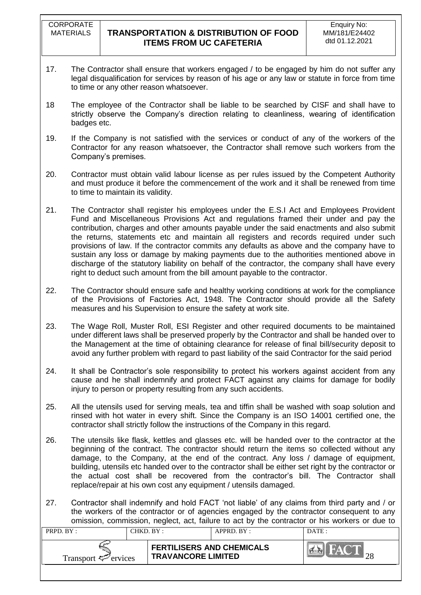- 17. The Contractor shall ensure that workers engaged / to be engaged by him do not suffer any legal disqualification for services by reason of his age or any law or statute in force from time to time or any other reason whatsoever.
- 18 The employee of the Contractor shall be liable to be searched by CISF and shall have to strictly observe the Company's direction relating to cleanliness, wearing of identification badges etc.
- 19. If the Company is not satisfied with the services or conduct of any of the workers of the Contractor for any reason whatsoever, the Contractor shall remove such workers from the Company"s premises.
- 20. Contractor must obtain valid labour license as per rules issued by the Competent Authority and must produce it before the commencement of the work and it shall be renewed from time to time to maintain its validity.
- 21. The Contractor shall register his employees under the E.S.I Act and Employees Provident Fund and Miscellaneous Provisions Act and regulations framed their under and pay the contribution, charges and other amounts payable under the said enactments and also submit the returns, statements etc and maintain all registers and records required under such provisions of law. If the contractor commits any defaults as above and the company have to sustain any loss or damage by making payments due to the authorities mentioned above in discharge of the statutory liability on behalf of the contractor, the company shall have every right to deduct such amount from the bill amount payable to the contractor.
- 22. The Contractor should ensure safe and healthy working conditions at work for the compliance of the Provisions of Factories Act, 1948. The Contractor should provide all the Safety measures and his Supervision to ensure the safety at work site.
- 23. The Wage Roll, Muster Roll, ESI Register and other required documents to be maintained under different laws shall be preserved properly by the Contractor and shall be handed over to the Management at the time of obtaining clearance for release of final bill/security deposit to avoid any further problem with regard to past liability of the said Contractor for the said period
- 24. It shall be Contractor"s sole responsibility to protect his workers against accident from any cause and he shall indemnify and protect FACT against any claims for damage for bodily injury to person or property resulting from any such accidents.
- 25. All the utensils used for serving meals, tea and tiffin shall be washed with soap solution and rinsed with hot water in every shift. Since the Company is an ISO 14001 certified one, the contractor shall strictly follow the instructions of the Company in this regard.
- 26. The utensils like flask, kettles and glasses etc. will be handed over to the contractor at the beginning of the contract. The contractor should return the items so collected without any damage, to the Company, at the end of the contract. Any loss / damage of equipment, building, utensils etc handed over to the contractor shall be either set right by the contractor or the actual cost shall be recovered from the contractor"s bill. The Contractor shall replace/repair at his own cost any equipment / utensils damaged.
- 27. Contractor shall indemnify and hold FACT "not liable" of any claims from third party and / or the workers of the contractor or of agencies engaged by the contractor consequent to any omission, commission, neglect, act, failure to act by the contractor or his workers or due to

| PRPD. BY:                       | CHKD. BY : |                                                               | $APPRD$ $BY:$ | DATE: |
|---------------------------------|------------|---------------------------------------------------------------|---------------|-------|
| Transport $\mathcal{F}$ ervices |            | <b>FERTILISERS AND CHEMICALS</b><br><b>TRAVANCORE LIMITED</b> |               |       |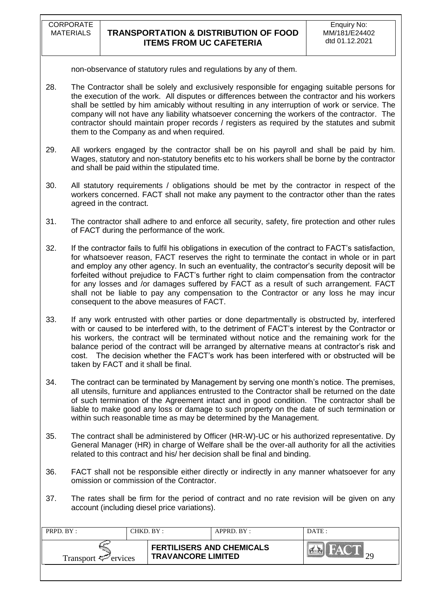non-observance of statutory rules and regulations by any of them.

- 28. The Contractor shall be solely and exclusively responsible for engaging suitable persons for the execution of the work. All disputes or differences between the contractor and his workers shall be settled by him amicably without resulting in any interruption of work or service. The company will not have any liability whatsoever concerning the workers of the contractor. The contractor should maintain proper records / registers as required by the statutes and submit them to the Company as and when required.
- 29. All workers engaged by the contractor shall be on his payroll and shall be paid by him. Wages, statutory and non-statutory benefits etc to his workers shall be borne by the contractor and shall be paid within the stipulated time.
- 30. All statutory requirements / obligations should be met by the contractor in respect of the workers concerned. FACT shall not make any payment to the contractor other than the rates agreed in the contract.
- 31. The contractor shall adhere to and enforce all security, safety, fire protection and other rules of FACT during the performance of the work.
- 32. If the contractor fails to fulfil his obligations in execution of the contract to FACT"s satisfaction, for whatsoever reason, FACT reserves the right to terminate the contact in whole or in part and employ any other agency. In such an eventuality, the contractor"s security deposit will be forfeited without prejudice to FACT"s further right to claim compensation from the contractor for any losses and /or damages suffered by FACT as a result of such arrangement. FACT shall not be liable to pay any compensation to the Contractor or any loss he may incur consequent to the above measures of FACT.
- 33. If any work entrusted with other parties or done departmentally is obstructed by, interfered with or caused to be interfered with, to the detriment of FACT"s interest by the Contractor or his workers, the contract will be terminated without notice and the remaining work for the balance period of the contract will be arranged by alternative means at contractor"s risk and cost. The decision whether the FACT"s work has been interfered with or obstructed will be taken by FACT and it shall be final.
- 34. The contract can be terminated by Management by serving one month"s notice. The premises, all utensils, furniture and appliances entrusted to the Contractor shall be returned on the date of such termination of the Agreement intact and in good condition. The contractor shall be liable to make good any loss or damage to such property on the date of such termination or within such reasonable time as may be determined by the Management.
- 35. The contract shall be administered by Officer (HR-W)-UC or his authorized representative. Dy General Manager (HR) in charge of Welfare shall be the over-all authority for all the activities related to this contract and his/ her decision shall be final and binding.
- 36. FACT shall not be responsible either directly or indirectly in any manner whatsoever for any omission or commission of the Contractor.
- 37. The rates shall be firm for the period of contract and no rate revision will be given on any account (including diesel price variations).

| PRPD. BY:                       | CHKD. BY :                                                    | APPRD. BY: | DATE: |
|---------------------------------|---------------------------------------------------------------|------------|-------|
| Transport $\mathcal{F}$ ervices | <b>FERTILISERS AND CHEMICALS</b><br><b>TRAVANCORE LIMITED</b> |            |       |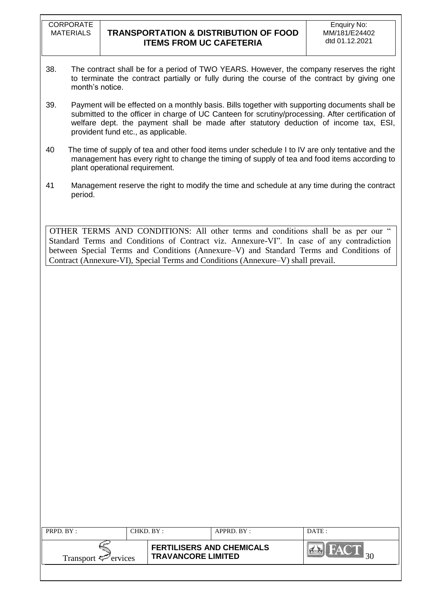**CORPORATE** 

- 38. The contract shall be for a period of TWO YEARS. However, the company reserves the right to terminate the contract partially or fully during the course of the contract by giving one month's notice.
- 39. Payment will be effected on a monthly basis. Bills together with supporting documents shall be submitted to the officer in charge of UC Canteen for scrutiny/processing. After certification of welfare dept. the payment shall be made after statutory deduction of income tax, ESI, provident fund etc., as applicable.
- 40 The time of supply of tea and other food items under schedule I to IV are only tentative and the management has every right to change the timing of supply of tea and food items according to plant operational requirement.
- 41 Management reserve the right to modify the time and schedule at any time during the contract period.

OTHER TERMS AND CONDITIONS: All other terms and conditions shall be as per our " Standard Terms and Conditions of Contract viz. Annexure-VI". In case of any contradiction between Special Terms and Conditions (Annexure–V) and Standard Terms and Conditions of Contract (Annexure-VI), Special Terms and Conditions (Annexure–V) shall prevail.

| PRPD. BY:                       | CHKD. BY :                | APPRD. BY :                      | DATE: |
|---------------------------------|---------------------------|----------------------------------|-------|
| Transport $\mathcal{F}$ ervices | <b>TRAVANCORE LIMITED</b> | <b>FERTILISERS AND CHEMICALS</b> |       |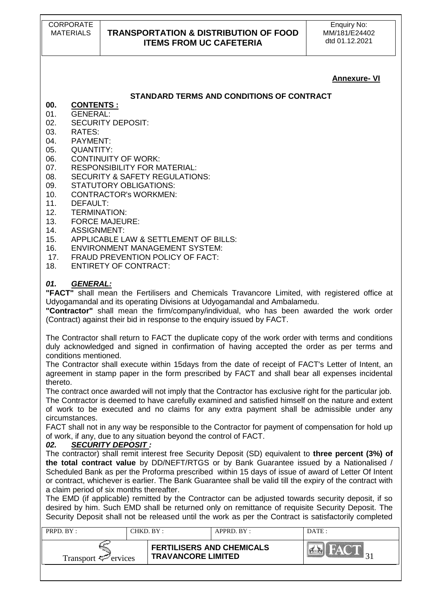### **Annexure- VI**

### **STANDARD TERMS AND CONDITIONS OF CONTRACT**

- **00. CONTENTS :**
- 01. GENERAL:
- 02. SECURITY DEPOSIT:<br>03. RATES:
- RATES<sup>.</sup>
- 04. PAYMENT:
- 05. QUANTITY:
- 06. CONTINUITY OF WORK:
- 07. RESPONSIBILITY FOR MATERIAL:
- 08. SECURITY & SAFETY REGULATIONS:
- 09. STATUTORY OBLIGATIONS:
- 10. CONTRACTOR's WORKMEN:
- 11. DEFAULT:
- 12. TERMINATION:
- 13. FORCE MAJEURE:
- 14. ASSIGNMENT:
- 15. APPLICABLE LAW & SETTLEMENT OF BILLS:
- 16. ENVIRONMENT MANAGEMENT SYSTEM:
- 17. FRAUD PREVENTION POLICY OF FACT:
- 18. ENTIRETY OF CONTRACT:

### *01. GENERAL:*

**"FACT"** shall mean the Fertilisers and Chemicals Travancore Limited, with registered office at Udyogamandal and its operating Divisions at Udyogamandal and Ambalamedu.

**"Contractor"** shall mean the firm/company/individual, who has been awarded the work order (Contract) against their bid in response to the enquiry issued by FACT.

The Contractor shall return to FACT the duplicate copy of the work order with terms and conditions duly acknowledged and signed in confirmation of having accepted the order as per terms and conditions mentioned.

The Contractor shall execute within 15days from the date of receipt of FACT's Letter of Intent, an agreement in stamp paper in the form prescribed by FACT and shall bear all expenses incidental thereto.

The contract once awarded will not imply that the Contractor has exclusive right for the particular job. The Contractor is deemed to have carefully examined and satisfied himself on the nature and extent of work to be executed and no claims for any extra payment shall be admissible under any circumstances.

FACT shall not in any way be responsible to the Contractor for payment of compensation for hold up of work, if any, due to any situation beyond the control of FACT.

### *02. SECURITY DEPOSIT :*

The contractor) shall remit interest free Security Deposit (SD) equivalent to **three percent (3%) of the total contract value** by DD/NEFT/RTGS or by Bank Guarantee issued by a Nationalised / Scheduled Bank as per the Proforma prescribed within 15 days of issue of award of Letter Of Intent or contract, whichever is earlier. The Bank Guarantee shall be valid till the expiry of the contract with a claim period of six months thereafter.

The EMD (if applicable) remitted by the Contractor can be adjusted towards security deposit, if so desired by him. Such EMD shall be returned only on remittance of requisite Security Deposit. The Security Deposit shall not be released until the work as per the Contract is satisfactorily completed

| PRPD. BY:                       | CHKD. BY : |                                                               | APPRD. BY: | DATE:      |
|---------------------------------|------------|---------------------------------------------------------------|------------|------------|
| Transport $\mathcal{F}$ ervices |            | <b>FERTILISERS AND CHEMICALS</b><br><b>TRAVANCORE LIMITED</b> |            | <b>NAT</b> |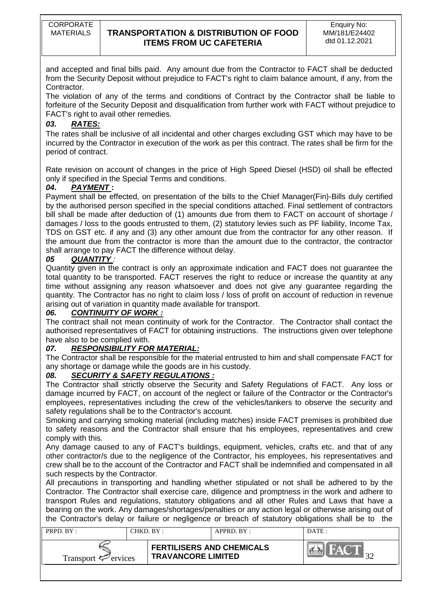and accepted and final bills paid. Any amount due from the Contractor to FACT shall be deducted from the Security Deposit without prejudice to FACT's right to claim balance amount, if any, from the Contractor.

The violation of any of the terms and conditions of Contract by the Contractor shall be liable to forfeiture of the Security Deposit and disqualification from further work with FACT without prejudice to FACT's right to avail other remedies.

# *03. RATES:*

The rates shall be inclusive of all incidental and other charges excluding GST which may have to be incurred by the Contractor in execution of the work as per this contract. The rates shall be firm for the period of contract.

Rate revision on account of changes in the price of High Speed Diesel (HSD) oil shall be effected only if specified in the Special Terms and conditions.

# *04***.** *PAYMENT* **:**

Payment shall be effected, on presentation of the bills to the Chief Manager(Fin)-Bills duly certified by the authorised person specified in the special conditions attached. Final settlement of contractors bill shall be made after deduction of (1) amounts due from them to FACT on account of shortage / damages / loss to the goods entrusted to them, (2) statutory levies such as PF liability, Income Tax, TDS on GST etc. if any and (3) any other amount due from the contractor for any other reason. If the amount due from the contractor is more than the amount due to the contractor, the contractor shall arrange to pay FACT the difference without delay.

# *05 QUANTITY :*

Quantity given in the contract is only an approximate indication and FACT does not guarantee the total quantity to be transported. FACT reserves the right to reduce or increase the quantity at any time without assigning any reason whatsoever and does not give any guarantee regarding the quantity. The Contractor has no right to claim loss / loss of profit on account of reduction in revenue arising out of variation in quantity made available for transport.

# *06. CONTINUITY OF WORK :*

The contract shall not mean continuity of work for the Contractor. The Contractor shall contact the authorised representatives of FACT for obtaining instructions. The instructions given over telephone have also to be complied with.

# *07. RESPONSIBILITY FOR MATERIAL:*

The Contractor shall be responsible for the material entrusted to him and shall compensate FACT for any shortage or damage while the goods are in his custody.

# *08. SECURITY & SAFETY REGULATIONS :*

The Contractor shall strictly observe the Security and Safety Regulations of FACT. Any loss or damage incurred by FACT, on account of the neglect or failure of the Contractor or the Contractor's employees, representatives including the crew of the vehicles/tankers to observe the security and safety regulations shall be to the Contractor's account.

Smoking and carrying smoking material (including matches) inside FACT premises is prohibited due to safety reasons and the Contractor shall ensure that his employees, representatives and crew comply with this.

Any damage caused to any of FACT's buildings, equipment, vehicles, crafts etc. and that of any other contractor/s due to the negligence of the Contractor, his employees, his representatives and crew shall be to the account of the Contractor and FACT shall be indemnified and compensated in all such respects by the Contractor.

All precautions in transporting and handling whether stipulated or not shall be adhered to by the Contractor. The Contractor shall exercise care, diligence and promptness in the work and adhere to transport Rules and regulations, statutory obligations and all other Rules and Laws that have a bearing on the work. Any damages/shortages/penalties or any action legal or otherwise arising out of the Contractor's delay or failure or negligence or breach of statutory obligations shall be to the

| $PRPD$ $RY:$                    | CHKD. BY: |                                                               | $APPRD$ $RY$ : | DATE:      |
|---------------------------------|-----------|---------------------------------------------------------------|----------------|------------|
| Transport $\mathcal{F}$ ervices |           | <b>FERTILISERS AND CHEMICALS</b><br><b>TRAVANCORE LIMITED</b> |                | <b>BYA</b> |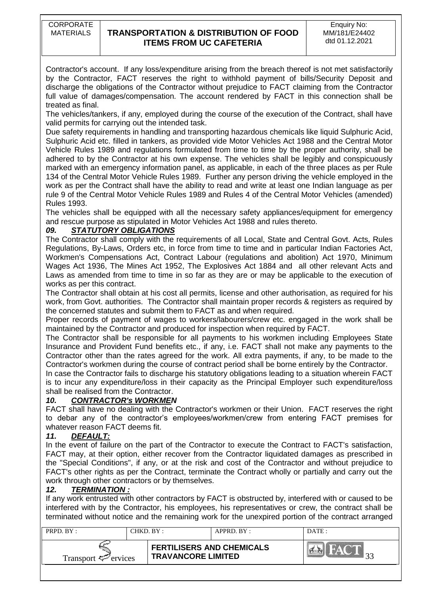Contractor's account. If any loss/expenditure arising from the breach thereof is not met satisfactorily by the Contractor, FACT reserves the right to withhold payment of bills/Security Deposit and discharge the obligations of the Contractor without prejudice to FACT claiming from the Contractor full value of damages/compensation. The account rendered by FACT in this connection shall be treated as final.

The vehicles/tankers, if any, employed during the course of the execution of the Contract, shall have valid permits for carrying out the intended task.

Due safety requirements in handling and transporting hazardous chemicals like liquid Sulphuric Acid, Sulphuric Acid etc. filled in tankers, as provided vide Motor Vehicles Act 1988 and the Central Motor Vehicle Rules 1989 and regulations formulated from time to time by the proper authority, shall be adhered to by the Contractor at his own expense. The vehicles shall be legibly and conspicuously marked with an emergency information panel, as applicable, in each of the three places as per Rule 134 of the Central Motor Vehicle Rules 1989. Further any person driving the vehicle employed in the work as per the Contract shall have the ability to read and write at least one Indian language as per rule 9 of the Central Motor Vehicle Rules 1989 and Rules 4 of the Central Motor Vehicles (amended) Rules 1993.

The vehicles shall be equipped with all the necessary safety appliances/equipment for emergency and rescue purpose as stipulated in Motor Vehicles Act 1988 and rules thereto.

### *09. STATUTORY OBLIGATIONS*

The Contractor shall comply with the requirements of all Local, State and Central Govt. Acts, Rules Regulations, By-Laws, Orders etc, in force from time to time and in particular Indian Factories Act, Workmen's Compensations Act, Contract Labour (regulations and abolition) Act 1970, Minimum Wages Act 1936, The Mines Act 1952, The Explosives Act 1884 and all other relevant Acts and Laws as amended from time to time in so far as they are or may be applicable to the execution of works as per this contract.

The Contractor shall obtain at his cost all permits, license and other authorisation, as required for his work, from Govt. authorities. The Contractor shall maintain proper records & registers as required by the concerned statutes and submit them to FACT as and when required.

Proper records of payment of wages to workers/labourers/crew etc. engaged in the work shall be maintained by the Contractor and produced for inspection when required by FACT.

The Contractor shall be responsible for all payments to his workmen including Employees State Insurance and Provident Fund benefits etc., if any, i.e. FACT shall not make any payments to the Contractor other than the rates agreed for the work. All extra payments, if any, to be made to the Contractor's workmen during the course of contract period shall be borne entirely by the Contractor.

In case the Contractor fails to discharge his statutory obligations leading to a situation wherein FACT is to incur any expenditure/loss in their capacity as the Principal Employer such expenditure/loss shall be realised from the Contractor.

# *10. CONTRACTOR's WORKMEN*

FACT shall have no dealing with the Contractor's workmen or their Union. FACT reserves the right to debar any of the contractor's employees/workmen/crew from entering FACT premises for whatever reason FACT deems fit.

### *11. DEFAULT:*

In the event of failure on the part of the Contractor to execute the Contract to FACT's satisfaction, FACT may, at their option, either recover from the Contractor liquidated damages as prescribed in the "Special Conditions", if any, or at the risk and cost of the Contractor and without prejudice to FACT's other rights as per the Contract, terminate the Contract wholly or partially and carry out the work through other contractors or by themselves.

### *12. TERMINATION :*

If any work entrusted with other contractors by FACT is obstructed by, interfered with or caused to be interfered with by the Contractor, his employees, his representatives or crew, the contract shall be terminated without notice and the remaining work for the unexpired portion of the contract arranged

| PRPD. BY:                       | CHKD. BY : |                                                               | $APPRD$ . $BY$ : | DATE:       |
|---------------------------------|------------|---------------------------------------------------------------|------------------|-------------|
| Transport $\mathcal{F}$ ervices |            | <b>FERTILISERS AND CHEMICALS</b><br><b>TRAVANCORE LIMITED</b> |                  | <b>BYAV</b> |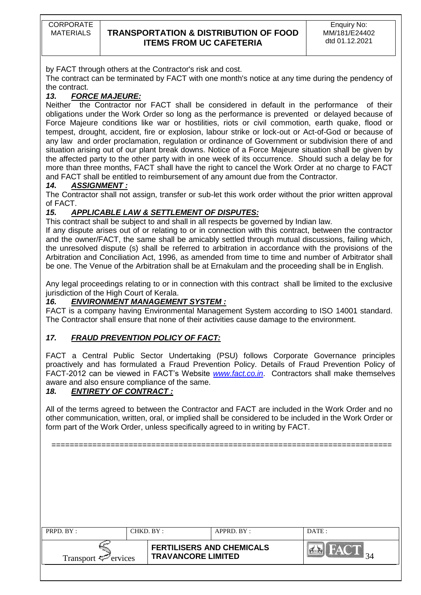CORPORATE

# MATERIALS **TRANSPORTATION & DISTRIBUTION OF FOOD ITEMS FROM UC CAFETERIA**

by FACT through others at the Contractor's risk and cost.

The contract can be terminated by FACT with one month's notice at any time during the pendency of the contract.

# *13. FORCE MAJEURE:*

Neither the Contractor nor FACT shall be considered in default in the performance of their obligations under the Work Order so long as the performance is prevented or delayed because of Force Majeure conditions like war or hostilities, riots or civil commotion, earth quake, flood or tempest, drought, accident, fire or explosion, labour strike or lock-out or Act-of-God or because of any law and order proclamation, regulation or ordinance of Government or subdivision there of and situation arising out of our plant break downs. Notice of a Force Majeure situation shall be given by the affected party to the other party with in one week of its occurrence. Should such a delay be for more than three months, FACT shall have the right to cancel the Work Order at no charge to FACT and FACT shall be entitled to reimbursement of any amount due from the Contractor.

### *14. ASSIGNMENT :*

The Contractor shall not assign, transfer or sub-let this work order without the prior written approval of FACT.

# *15. APPLICABLE LAW & SETTLEMENT OF DISPUTES:*

This contract shall be subject to and shall in all respects be governed by Indian law.

If any dispute arises out of or relating to or in connection with this contract, between the contractor and the owner/FACT, the same shall be amicably settled through mutual discussions, failing which, the unresolved dispute (s) shall be referred to arbitration in accordance with the provisions of the Arbitration and Conciliation Act, 1996, as amended from time to time and number of Arbitrator shall be one. The Venue of the Arbitration shall be at Ernakulam and the proceeding shall be in English.

Any legal proceedings relating to or in connection with this contract shall be limited to the exclusive jurisdiction of the High Court of Kerala.

# *16. ENVIRONMENT MANAGEMENT SYSTEM :*

FACT is a company having Environmental Management System according to ISO 14001 standard. The Contractor shall ensure that none of their activities cause damage to the environment.

# *17. FRAUD PREVENTION POLICY OF FACT:*

FACT a Central Public Sector Undertaking (PSU) follows Corporate Governance principles proactively and has formulated a Fraud Prevention Policy. Details of Fraud Prevention Policy of FACT-2012 can be viewed in FACT"s Website *[www.fact.co.in](http://www.fact.co.in/)*. Contractors shall make themselves aware and also ensure compliance of the same.

# *18. ENTIRETY OF CONTRACT :*

All of the terms agreed to between the Contractor and FACT are included in the Work Order and no other communication, written, oral, or implied shall be considered to be included in the Work Order or form part of the Work Order, unless specifically agreed to in writing by FACT.

===========================================================================

| PRPD. BY:                                             | CHKD. BY: |                                  | APPRD. BY :       | DATE: |
|-------------------------------------------------------|-----------|----------------------------------|-------------------|-------|
| <b>TRAVANCORE LIMITED</b><br>Transport $\leq$ ervices |           | <b>FERTILISERS AND CHEMICALS</b> | <b>FACT</b><br>34 |       |
|                                                       |           |                                  |                   |       |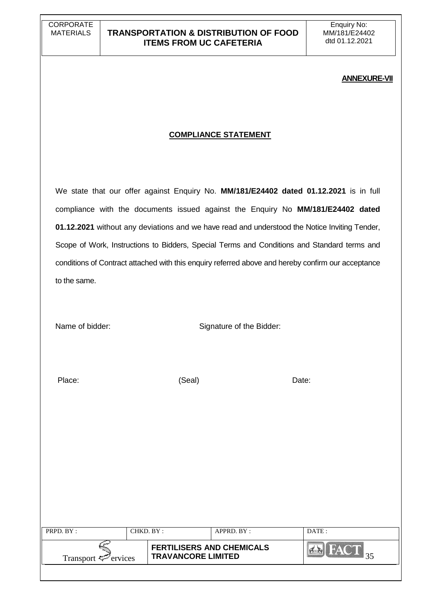#### **ANNEXURE-VII**

### **COMPLIANCE STATEMENT**

We state that our offer against Enquiry No. **MM/181/E24402 dated 01.12.2021** is in full compliance with the documents issued against the Enquiry No **MM/181/E24402 dated 01.12.2021** without any deviations and we have read and understood the Notice Inviting Tender, Scope of Work, Instructions to Bidders, Special Terms and Conditions and Standard terms and conditions of Contract attached with this enquiry referred above and hereby confirm our acceptance to the same.

Name of bidder: Signature of the Bidder:

Place: (Seal) Date:

| PRPD. BY:                | CHKD. BY: |                                                               | $APPRD$ . BY : | DATE: |
|--------------------------|-----------|---------------------------------------------------------------|----------------|-------|
| Transport $\leq$ ervices |           | <b>FERTILISERS AND CHEMICALS</b><br><b>TRAVANCORE LIMITED</b> |                |       |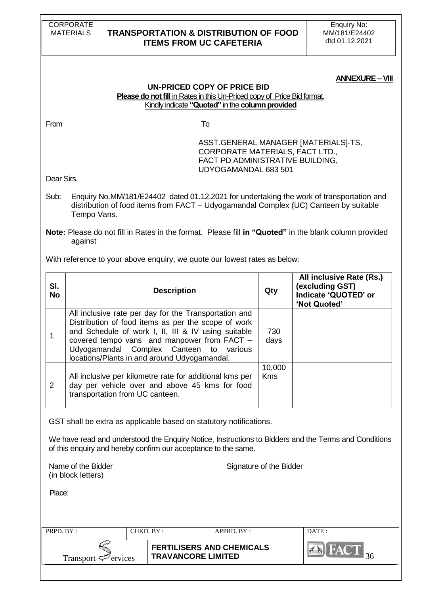| <b>ANNEXURE – VIII</b> |  |
|------------------------|--|
|------------------------|--|

| UN-PRICED COPY OF PRICE BID                                                    |
|--------------------------------------------------------------------------------|
| <b>Please do not fill</b> in Rates in this Un-Priced copy of Price Bid format. |
| Kindly indicate "Quoted" in the column provided                                |

From To

ASST.GENERAL MANAGER [MATERIALS]-TS, CORPORATE MATERIALS, FACT LTD., FACT PD ADMINISTRATIVE BUILDING, UDYOGAMANDAL 683 501

Dear Sirs,

Sub: Enquiry No.MM/181/E24402 dated 01.12.2021 for undertaking the work of transportation and distribution of food items from FACT – Udyogamandal Complex (UC) Canteen by suitable Tempo Vans.

**Note:** Please do not fill in Rates in the format. Please fill **in "Quoted"** in the blank column provided against

With reference to your above enquiry, we quote our lowest rates as below:

| SI.<br><b>No</b> | <b>Description</b>                                                                                                                                                                                                                                                                                            | Qty                  | All inclusive Rate (Rs.)<br>(excluding GST)<br>Indicate 'QUOTED' or<br>'Not Quoted' |
|------------------|---------------------------------------------------------------------------------------------------------------------------------------------------------------------------------------------------------------------------------------------------------------------------------------------------------------|----------------------|-------------------------------------------------------------------------------------|
|                  | All inclusive rate per day for the Transportation and<br>Distribution of food items as per the scope of work<br>and Schedule of work I, II, III & IV using suitable<br>covered tempo vans and manpower from FACT -<br>Udyogamandal Complex Canteen to various<br>locations/Plants in and around Udyogamandal. | 730<br>days          |                                                                                     |
| 2                | All inclusive per kilometre rate for additional kms per<br>day per vehicle over and above 45 kms for food<br>transportation from UC canteen.                                                                                                                                                                  | 10,000<br><b>Kms</b> |                                                                                     |

GST shall be extra as applicable based on statutory notifications.

We have read and understood the Enquiry Notice, Instructions to Bidders and the Terms and Conditions of this enquiry and hereby confirm our acceptance to the same.

(in block letters)

Name of the Bidder Signature of the Bidder

Place:

| PRPD. BY:                       | CHKD. BY : |                                                               | APPRD. BY: | DATE:       |
|---------------------------------|------------|---------------------------------------------------------------|------------|-------------|
| Transport $\mathcal{P}$ ervices |            | <b>FERTILISERS AND CHEMICALS</b><br><b>TRAVANCORE LIMITED</b> |            | <b>IPER</b> |
|                                 |            |                                                               |            |             |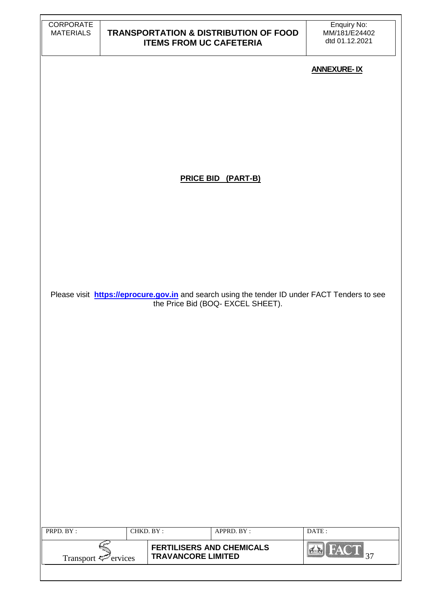| CORPORATE<br><b>MATERIALS</b>    | <b>ITEMS FROM UC CAFETERIA</b> | <b>TRANSPORTATION &amp; DISTRIBUTION OF FOOD</b>                                                     | Enquiry No:<br>MM/181/E24402<br>dtd 01.12.2021 |
|----------------------------------|--------------------------------|------------------------------------------------------------------------------------------------------|------------------------------------------------|
|                                  |                                |                                                                                                      | <b>ANNEXURE-IX</b>                             |
|                                  |                                |                                                                                                      |                                                |
|                                  |                                |                                                                                                      |                                                |
|                                  |                                |                                                                                                      |                                                |
|                                  |                                |                                                                                                      |                                                |
|                                  |                                |                                                                                                      |                                                |
|                                  |                                |                                                                                                      |                                                |
|                                  |                                | <b>PRICE BID (PART-B)</b>                                                                            |                                                |
|                                  |                                |                                                                                                      |                                                |
|                                  |                                |                                                                                                      |                                                |
|                                  |                                |                                                                                                      |                                                |
|                                  |                                |                                                                                                      |                                                |
|                                  |                                |                                                                                                      |                                                |
|                                  |                                | Please visit <b>https://eprocure.gov.in</b> and search using the tender ID under FACT Tenders to see |                                                |
|                                  |                                | the Price Bid (BOQ- EXCEL SHEET).                                                                    |                                                |
|                                  |                                |                                                                                                      |                                                |
|                                  |                                |                                                                                                      |                                                |
|                                  |                                |                                                                                                      |                                                |
|                                  |                                |                                                                                                      |                                                |
|                                  |                                |                                                                                                      |                                                |
|                                  |                                |                                                                                                      |                                                |
|                                  |                                |                                                                                                      |                                                |
|                                  |                                |                                                                                                      |                                                |
|                                  |                                |                                                                                                      |                                                |
|                                  |                                |                                                                                                      |                                                |
|                                  |                                |                                                                                                      |                                                |
|                                  |                                |                                                                                                      |                                                |
| PRPD. BY:                        | CHKD. BY:                      | APPRD. BY:                                                                                           | DATE:                                          |
|                                  |                                | <b>FERTILISERS AND CHEMICALS</b>                                                                     | $\overline{\text{FACT}}_{37}$<br>$4 - 1$       |
| Transport <sup>ext</sup> ervices | <b>TRAVANCORE LIMITED</b>      |                                                                                                      |                                                |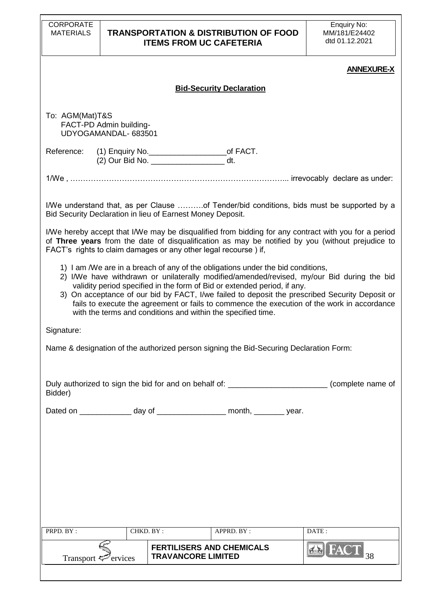| <b>CORPORATE</b><br><b>MATERIALS</b>     |                                                 | <b>ITEMS FROM UC CAFETERIA</b>                                  | <b>TRANSPORTATION &amp; DISTRIBUTION OF FOOD</b>                                                                                                            | Enquiry No:<br>MM/181/E24402<br>dtd 01.12.2021                                                                                                                                                                                                                                              |
|------------------------------------------|-------------------------------------------------|-----------------------------------------------------------------|-------------------------------------------------------------------------------------------------------------------------------------------------------------|---------------------------------------------------------------------------------------------------------------------------------------------------------------------------------------------------------------------------------------------------------------------------------------------|
|                                          |                                                 |                                                                 |                                                                                                                                                             | <b>ANNEXURE-X</b>                                                                                                                                                                                                                                                                           |
|                                          |                                                 |                                                                 | <b>Bid-Security Declaration</b>                                                                                                                             |                                                                                                                                                                                                                                                                                             |
| To: AGM(Mat)T&S                          | FACT-PD Admin building-<br>UDYOGAMANDAL- 683501 |                                                                 |                                                                                                                                                             |                                                                                                                                                                                                                                                                                             |
| Reference:                               |                                                 | (2) Our Bid No. _________________________ dt.                   |                                                                                                                                                             |                                                                                                                                                                                                                                                                                             |
|                                          |                                                 |                                                                 |                                                                                                                                                             |                                                                                                                                                                                                                                                                                             |
|                                          |                                                 | Bid Security Declaration in lieu of Earnest Money Deposit.      |                                                                                                                                                             | I/We understand that, as per Clause of Tender/bid conditions, bids must be supported by a                                                                                                                                                                                                   |
|                                          |                                                 | FACT's rights to claim damages or any other legal recourse) if, |                                                                                                                                                             | I/We hereby accept that I/We may be disqualified from bidding for any contract with you for a period<br>of Three years from the date of disqualification as may be notified by you (without prejudice to                                                                                    |
|                                          |                                                 | with the terms and conditions and within the specified time.    | 1) I am /We are in a breach of any of the obligations under the bid conditions,<br>validity period specified in the form of Bid or extended period, if any. | 2) I/We have withdrawn or unilaterally modified/amended/revised, my/our Bid during the bid<br>3) On acceptance of our bid by FACT, I/we failed to deposit the prescribed Security Deposit or<br>fails to execute the agreement or fails to commence the execution of the work in accordance |
| Signature:                               |                                                 |                                                                 |                                                                                                                                                             |                                                                                                                                                                                                                                                                                             |
|                                          |                                                 |                                                                 | Name & designation of the authorized person signing the Bid-Securing Declaration Form:                                                                      |                                                                                                                                                                                                                                                                                             |
| Bidder)                                  |                                                 |                                                                 |                                                                                                                                                             | Duly authorized to sign the bid for and on behalf of: _________________________(complete name of                                                                                                                                                                                            |
|                                          |                                                 |                                                                 | Dated on ________________ day of ____________________ month, _________ year.                                                                                |                                                                                                                                                                                                                                                                                             |
|                                          |                                                 |                                                                 |                                                                                                                                                             |                                                                                                                                                                                                                                                                                             |
|                                          |                                                 |                                                                 |                                                                                                                                                             |                                                                                                                                                                                                                                                                                             |
|                                          |                                                 |                                                                 |                                                                                                                                                             |                                                                                                                                                                                                                                                                                             |
|                                          |                                                 |                                                                 |                                                                                                                                                             |                                                                                                                                                                                                                                                                                             |
| PRPD. BY:                                |                                                 | CHKD. BY:                                                       | APPRD. BY:                                                                                                                                                  | DATE:                                                                                                                                                                                                                                                                                       |
|                                          |                                                 |                                                                 |                                                                                                                                                             |                                                                                                                                                                                                                                                                                             |
| Transport $\mathcal{P}_{\text{ervices}}$ |                                                 | <b>FERTILISERS AND CHEMICALS</b><br><b>TRAVANCORE LIMITED</b>   |                                                                                                                                                             | <b>ERIFAC</b><br>38                                                                                                                                                                                                                                                                         |
|                                          |                                                 |                                                                 |                                                                                                                                                             |                                                                                                                                                                                                                                                                                             |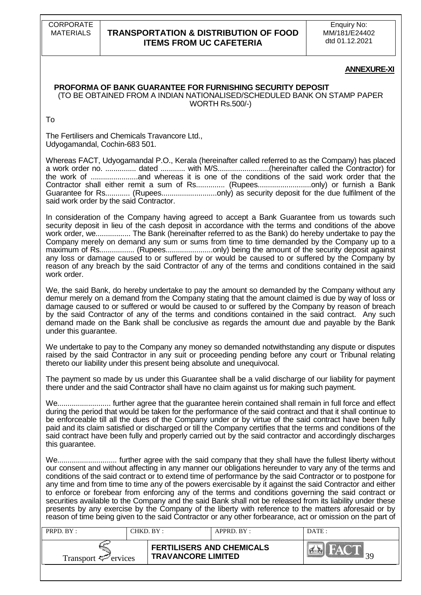CORPORATE

### MATERIALS **TRANSPORTATION & DISTRIBUTION OF FOOD ITEMS FROM UC CAFETERIA**

Enquiry No: MM/181/E24402 dtd 01.12.2021

#### **ANNEXURE-XI**

### **PROFORMA OF BANK GUARANTEE FOR FURNISHING SECURITY DEPOSIT**

(TO BE OBTAINED FROM A INDIAN NATIONALISED/SCHEDULED BANK ON STAMP PAPER WORTH Rs.500/-)

To

The Fertilisers and Chemicals Travancore Ltd., Udyogamandal, Cochin-683 501.

Whereas FACT, Udyogamandal P.O., Kerala (hereinafter called referred to as the Company) has placed a work order no. ............... dated ............ with M/S.........................(hereinafter called the Contractor) for the work of .......................and whereas it is one of the conditions of the said work order that the Contractor shall either remit a sum of Rs............... (Rupees.............................only) or furnish a Bank Guarantee for Rs............ (Rupees...........................only) as security deposit for the due fulfilment of the said work order by the said Contractor.

In consideration of the Company having agreed to accept a Bank Guarantee from us towards such security deposit in lieu of the cash deposit in accordance with the terms and conditions of the above work order, we................. The Bank (hereinafter referred to as the Bank) do hereby undertake to pay the Company merely on demand any sum or sums from time to time demanded by the Company up to a maximum of Rs.................. (Rupees............................only) being the amount of the security deposit against any loss or damage caused to or suffered by or would be caused to or suffered by the Company by reason of any breach by the said Contractor of any of the terms and conditions contained in the said work order.

We, the said Bank, do hereby undertake to pay the amount so demanded by the Company without any demur merely on a demand from the Company stating that the amount claimed is due by way of loss or damage caused to or suffered or would be caused to or suffered by the Company by reason of breach by the said Contractor of any of the terms and conditions contained in the said contract. Any such demand made on the Bank shall be conclusive as regards the amount due and payable by the Bank under this guarantee.

We undertake to pay to the Company any money so demanded notwithstanding any dispute or disputes raised by the said Contractor in any suit or proceeding pending before any court or Tribunal relating thereto our liability under this present being absolute and unequivocal.

The payment so made by us under this Guarantee shall be a valid discharge of our liability for payment there under and the said Contractor shall have no claim against us for making such payment.

We.......................... further agree that the guarantee herein contained shall remain in full force and effect during the period that would be taken for the performance of the said contract and that it shall continue to be enforceable till all the dues of the Company under or by virtue of the said contract have been fully paid and its claim satisfied or discharged or till the Company certifies that the terms and conditions of the said contract have been fully and properly carried out by the said contractor and accordingly discharges this guarantee.

We............................. further agree with the said company that they shall have the fullest liberty without our consent and without affecting in any manner our obligations hereunder to vary any of the terms and conditions of the said contract or to extend time of performance by the said Contractor or to postpone for any time and from time to time any of the powers exercisable by it against the said Contractor and either to enforce or forebear from enforcing any of the terms and conditions governing the said contract or securities available to the Company and the said Bank shall not be released from its liability under these presents by any exercise by the Company of the liberty with reference to the matters aforesaid or by reason of time being given to the said Contractor or any other forbearance, act or omission on the part of

| PRPD. $BY:$                     | CHKD. BY : | $APPRD$ $RY$ :                                                | DATE: |
|---------------------------------|------------|---------------------------------------------------------------|-------|
| Transport $\mathcal{F}$ ervices |            | <b>FERTILISERS AND CHEMICALS</b><br><b>TRAVANCORE LIMITED</b> |       |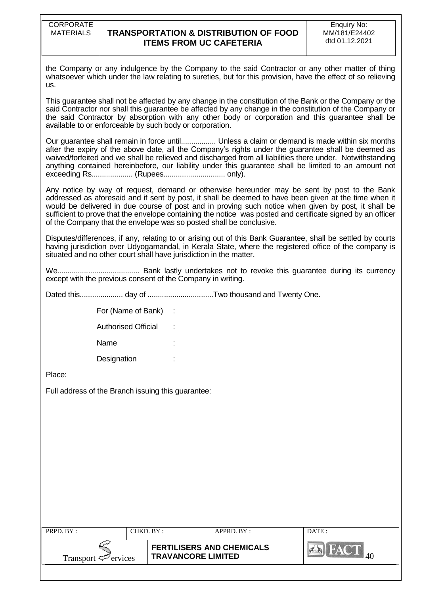the Company or any indulgence by the Company to the said Contractor or any other matter of thing whatsoever which under the law relating to sureties, but for this provision, have the effect of so relieving us.

This guarantee shall not be affected by any change in the constitution of the Bank or the Company or the said Contractor nor shall this guarantee be affected by any change in the constitution of the Company or the said Contractor by absorption with any other body or corporation and this guarantee shall be available to or enforceable by such body or corporation.

Our guarantee shall remain in force until................. Unless a claim or demand is made within six months after the expiry of the above date, all the Company's rights under the guarantee shall be deemed as waived/forfeited and we shall be relieved and discharged from all liabilities there under. Notwithstanding anything contained hereinbefore, our liability under this guarantee shall be limited to an amount not exceeding Rs.................... (Rupees.............................. only).

Any notice by way of request, demand or otherwise hereunder may be sent by post to the Bank addressed as aforesaid and if sent by post, it shall be deemed to have been given at the time when it would be delivered in due course of post and in proving such notice when given by post, it shall be sufficient to prove that the envelope containing the notice was posted and certificate signed by an officer of the Company that the envelope was so posted shall be conclusive.

Disputes/differences, if any, relating to or arising out of this Bank Guarantee, shall be settled by courts having jurisdiction over Udyogamandal, in Kerala State, where the registered office of the company is situated and no other court shall have jurisdiction in the matter.

We........................................ Bank lastly undertakes not to revoke this guarantee during its currency except with the previous consent of the Company in writing.

Dated this..................... day of ................................Two thousand and Twenty One.

| For (Name of Bank)         |  |
|----------------------------|--|
| <b>Authorised Official</b> |  |
| Name                       |  |
| Designation                |  |

Place:

Full address of the Branch issuing this guarantee:

| PRPD. BY:                       | CHKD. BY: |                                                               | $APPRD$ . BY : | DATE : |
|---------------------------------|-----------|---------------------------------------------------------------|----------------|--------|
| Transport $\mathcal{F}$ ervices |           | <b>FERTILISERS AND CHEMICALS</b><br><b>TRAVANCORE LIMITED</b> |                |        |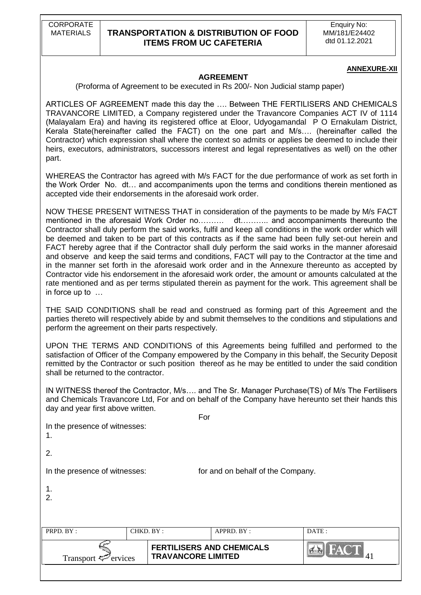Enquiry No: MM/181/E24402 dtd 01.12.2021

#### **ANNEXURE-XII**

#### **AGREEMENT**

(Proforma of Agreement to be executed in Rs 200/- Non Judicial stamp paper)

ARTICLES OF AGREEMENT made this day the …. Between THE FERTILISERS AND CHEMICALS TRAVANCORE LIMITED, a Company registered under the Travancore Companies ACT IV of 1114 (Malayalam Era) and having its registered office at Eloor, Udyogamandal P O Ernakulam District, Kerala State(hereinafter called the FACT) on the one part and M/s…. (hereinafter called the Contractor) which expression shall where the context so admits or applies be deemed to include their heirs, executors, administrators, successors interest and legal representatives as well) on the other part.

WHEREAS the Contractor has agreed with M/s FACT for the due performance of work as set forth in the Work Order No. dt… and accompaniments upon the terms and conditions therein mentioned as accepted vide their endorsements in the aforesaid work order.

NOW THESE PRESENT WITNESS THAT in consideration of the payments to be made by M/s FACT mentioned in the aforesaid Work Order no………. dt……….. and accompaniments thereunto the Contractor shall duly perform the said works, fulfil and keep all conditions in the work order which will be deemed and taken to be part of this contracts as if the same had been fully set-out herein and FACT hereby agree that if the Contractor shall duly perform the said works in the manner aforesaid and observe and keep the said terms and conditions, FACT will pay to the Contractor at the time and in the manner set forth in the aforesaid work order and in the Annexure thereunto as accepted by Contractor vide his endorsement in the aforesaid work order, the amount or amounts calculated at the rate mentioned and as per terms stipulated therein as payment for the work. This agreement shall be in force up to …

THE SAID CONDITIONS shall be read and construed as forming part of this Agreement and the parties thereto will respectively abide by and submit themselves to the conditions and stipulations and perform the agreement on their parts respectively.

UPON THE TERMS AND CONDITIONS of this Agreements being fulfilled and performed to the satisfaction of Officer of the Company empowered by the Company in this behalf, the Security Deposit remitted by the Contractor or such position thereof as he may be entitled to under the said condition shall be returned to the contractor.

IN WITNESS thereof the Contractor, M/s…. and The Sr. Manager Purchase(TS) of M/s The Fertilisers and Chemicals Travancore Ltd, For and on behalf of the Company have hereunto set their hands this day and year first above written.

| ervices<br>Transport $\ddot{\sim}$  |           | <b>FERTILISERS AND CHEMICALS</b><br><b>TRAVANCORE LIMITED</b> |                                   | <b>EN FACT</b> |
|-------------------------------------|-----------|---------------------------------------------------------------|-----------------------------------|----------------|
| PRPD. BY:                           | CHKD. BY: |                                                               | APPRD. BY:                        | DATE:          |
| 1.<br>2.                            |           |                                                               |                                   |                |
| In the presence of witnesses:       |           |                                                               | for and on behalf of the Company. |                |
| 2.                                  |           |                                                               |                                   |                |
| In the presence of witnesses:<br>1. |           | For                                                           |                                   |                |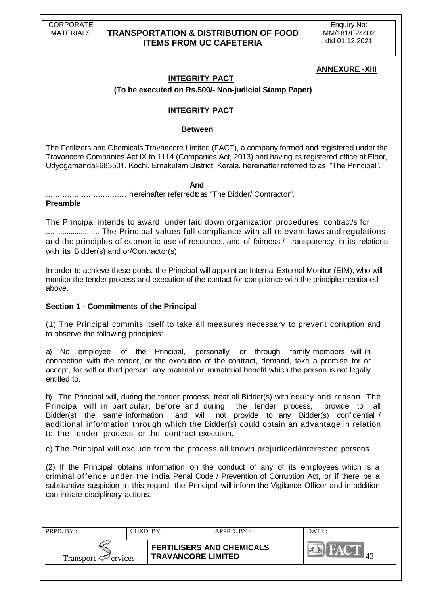### **ANNEXURE -XIII**

# **INTEGRITY PACT**

### **(To be executed on Rs.500/- Non-judicial Stamp Paper)**

### **INTEGRITY PACT**

#### **Between**

The Fetilizers and Chemicals Travancore Limited (FACT), a company formed and registered under the Travancore Companies Act IX to 1114 (Companies Act, 2013) and having its registered office at Eloor, Udyogamandal-683501, Kochi, Ernakulam District, Kerala, hereinafter referred to as "The Principal".

#### *And*

.................................. hereinafter referredtoas "The Bidder/ Contractor".

#### **Preamble**

The Principal intends to award, under laid down organization procedures, contract/s for .......................... The Principal values full compliance with all relevant laws and regulations, and the principles of economic use of resources, and of fairness / transparency in its relations with its Bidder(s) and or/Contractor(s).

In order to achieve these goals, the Principal will appoint an Internal External Monitor (EIM), who will monitor the tender process and execution of the contact for compliance with the principle mentioned above.

### **Section 1 - Commitments of the Principal**

(1) The Principal commits itself to take all measures necessary to prevent corruption and to observe the following principles:

a) No employee of the Principal, personally or through family members, will in connection with the tender, or the execution of the contract, demand, take a promise for or accept, for self or third person, any material or immaterial benefit which the person is not legally entitled to.

b) The Principal will, during the tender process, treat all Bidder(s) with equity and reason. The Principal will in particular, before and during the tender process, provide to all Bidder(s) the same information and will not provide to any Bidder(s) confidential / additional information through which the Bidder(s) could obtain an advantage in relation to the tender process or the contract execution.

c) The Principal will exclude from the process all known prejudiced/interested persons.

(2) If the Principal obtains information on the conduct of any of its employees which is a criminal offence under the India Penal Code / Prevention of Corruption Act, or if there be a substantive suspicion in this regard, the Principal will inform the Vigilance Officer and in addition can initiate disciplinary actions.

| PRPD. BY:<br>CHKD. BY :         |  |                                                               | $APPRD$ . $BY$ : | DATE:           |
|---------------------------------|--|---------------------------------------------------------------|------------------|-----------------|
| Transport $\mathcal{F}$ ervices |  | <b>FERTILISERS AND CHEMICALS</b><br><b>TRAVANCORE LIMITED</b> |                  | $\Delta^{\sim}$ |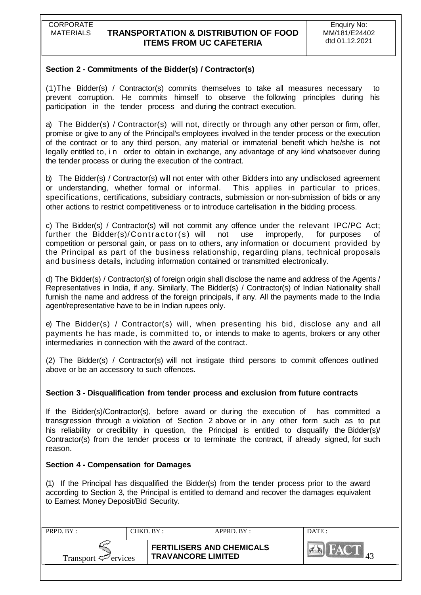### **Section 2 - Commitments of the Bidder(s) / Contractor(s)**

(1)The Bidder(s) / Contractor(s) commits themselves to take all measures necessary to prevent corruption. He commits himself to observe the following principles during his participation in the tender process and during the contract execution.

a) The Bidder(s) / Contractor(s) will not, directly or through any other person or firm, offer, promise or give to any of the Principal's employees involved in the tender process or the execution of the contract or to any third person, any material or immaterial benefit which he/she is not legally entitled to, in order to obtain in exchange, any advantage of any kind whatsoever during the tender process or during the execution of the contract.

b) The Bidder(s) / Contractor(s) will not enter with other Bidders into any undisclosed agreement or understanding, whether formal or informal. This applies in particular to prices, specifications, certifications, subsidiary contracts, submission or non-submission of bids or any other actions to restrict competitiveness or to introduce cartelisation in the bidding process.

c) The Bidder(s) / Contractor(s) will not commit any offence under the relevant IPC/PC Act; further the Bidder(s)/Contractor(s) will not use improperly, for purposes of competition or personal gain, or pass on to others, any information or document provided by the Principal as part of the business relationship, regarding plans, technical proposals and business details, including information contained or transmitted electronically.

d) The Bidder(s) / Contractor(s) of foreign origin shall disclose the name and address of the Agents / Representatives in India, if any. Similarly, The Bidder(s) / Contractor(s) of Indian Nationality shall furnish the name and address of the foreign principals, if any. All the payments made to the India agent/representative have to be in Indian rupees only.

e) The Bidder(s) / Contractor(s) will, when presenting his bid, disclose any and all payments he has made, is committed to, or intends to make to agents, brokers or any other intermediaries in connection with the award of the contract.

(2) The Bidder(s) / Contractor(s) will not instigate third persons to commit offences outlined above or be an accessory to such offences.

### **Section 3 - Disqualification from tender process and exclusion from future contracts**

If the Bidder(s)/Contractor(s), before award or during the execution of has committed a transgression through a violation of Section 2 above or in any other form such as to put his reliability or credibility in question, the Principal is entitled to disqualify the Bidder(s)/ Contractor(s) from the tender process or to terminate the contract, if already signed, for such reason.

### **Section 4 - Compensation for Damages**

(1) If the Principal has disqualified the Bidder(s) from the tender process prior to the award according to Section 3, the Principal is entitled to demand and recover the damages equivalent to Earnest Money Deposit/Bid Security.

| PRPD, BY:                       | CHKD. BY : |                                                               | $APPRD$ $BY$ | DATE: |
|---------------------------------|------------|---------------------------------------------------------------|--------------|-------|
| Transport $\mathcal{F}$ ervices |            | <b>FERTILISERS AND CHEMICALS</b><br><b>TRAVANCORE LIMITED</b> |              | ⊶     |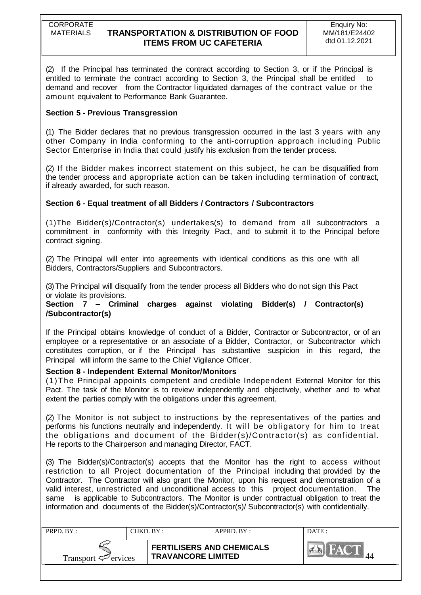(2) If the Principal has terminated the contract according to Section 3, or if the Principal is entitled to terminate the contract according to Section 3, the Principal shall be entitled to demand and recover from the Contractor l iquidated damages of the contract value or the amount equivalent to Performance Bank Guarantee.

### **Section 5 - Previous Transgression**

(1) The Bidder declares that no previous transgression occurred in the last 3 years with any other Company in India conforming to the anti-corruption approach including Public Sector Enterprise in India that could justify his exclusion from the tender process.

(2) If the Bidder makes incorrect statement on this subject, he can be disqualified from the tender process and appropriate action can be taken including termination of contract, if already awarded, for such reason.

### **Section 6 - Equal treatment of all Bidders / Contractors / Subcontractors**

(1)The Bidder(s)/Contractor(s) undertakes(s) to demand from all subcontractors a commitment in conformity with this Integrity Pact, and to submit it to the Principal before contract signing.

(2) The Principal will enter into agreements with identical conditions as this one with all Bidders, Contractors/Suppliers and Subcontractors.

(3)The Principal will disqualify from the tender process all Bidders who do not sign this Pact or violate its provisions.

### **Section 7 – Criminal charges against violating Bidder(s) / Contractor(s) /Subcontractor(s)**

If the Principal obtains knowledge of conduct of a Bidder, Contractor or Subcontractor, or of an employee or a representative or an associate of a Bidder, Contractor, or Subcontractor which constitutes corruption, or if the Principal has substantive suspicion in this regard, the Principal will inform the same to the Chief Vigilance Officer.

### **Section 8 - Independent External Monitor/Monitors**

(1)The Principal appoints competent and credible Independent External Monitor for this Pact. The task of the Monitor is to review independently and objectively, whether and to what extent the parties comply with the obligations under this agreement.

(2) The Monitor is not subject to instructions by the representatives of the parties and performs his functions neutrally and independently. It will be obligatory for him to treat the obligations and document of the Bidder(s)/Contractor(s) as confidential. He reports to the Chairperson and managing Director, FACT.

(3) The Bidder(s)/Contractor(s) accepts that the Monitor has the right to access without restriction to all Project documentation of the Principal including that provided by the Contractor. The Contractor will also grant the Monitor, upon his request and demonstration of a valid interest, unrestricted and unconditional access to this project documentation. The same is applicable to Subcontractors. The Monitor is under contractual obligation to treat the information and documents of the Bidder(s)/Contractor(s)/ Subcontractor(s) with confidentially.

| PRPD. BY:                | CHKD. BY : |                                                               | $APPRD$ $BY:$ | DATE: |
|--------------------------|------------|---------------------------------------------------------------|---------------|-------|
| Transport $\leq$ ervices |            | <b>FERTILISERS AND CHEMICALS</b><br><b>TRAVANCORE LIMITED</b> |               |       |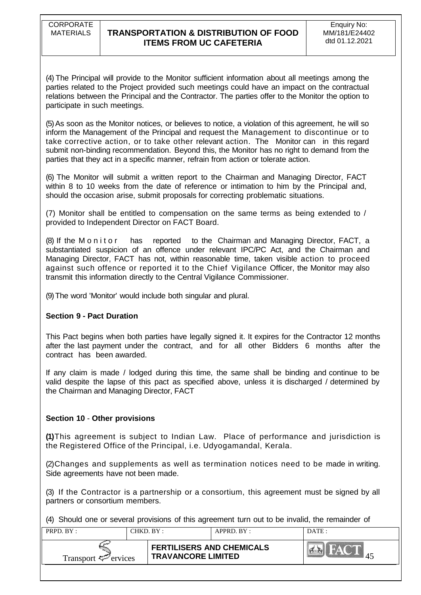(4) The Principal will provide to the Monitor sufficient information about all meetings among the parties related to the Project provided such meetings could have an impact on the contractual relations between the Principal and the Contractor. The parties offer to the Monitor the option to participate in such meetings.

(5)As soon as the Monitor notices, or believes to notice, a violation of this agreement, he will so inform the Management of the Principal and request the Management to discontinue or to take corrective action, or to take other relevant action. The Monitor can in this regard submit non-binding recommendation. Beyond this, the Monitor has no right to demand from the parties that they act in a specific manner, refrain from action or tolerate action.

(6) The Monitor will submit a written report to the Chairman and Managing Director, FACT within 8 to 10 weeks from the date of reference or intimation to him by the Principal and, should the occasion arise, submit proposals for correcting problematic situations.

(7) Monitor shall be entitled to compensation on the same terms as being extended to / provided to Independent Director on FACT Board.

(8) If the Monitor has reported to the Chairman and Managing Director, FACT, a substantiated suspicion of an offence under relevant IPC/PC Act, and the Chairman and Managing Director, FACT has not, within reasonable time, taken visible action to proceed against such offence or reported it to the Chief Vigilance Officer, the Monitor may also transmit this information directly to the Central Vigilance Commissioner.

(9)The word 'Monitor' would include both singular and plural.

### **Section 9 - Pact Duration**

This Pact begins when both parties have legally signed it. It expires for the Contractor 12 months after the last payment under the contract, and for all other Bidders 6 months after the contract has been awarded.

If any claim is made / lodged during this time, the same shall be binding and continue to be valid despite the lapse of this pact as specified above, unless it is discharged / determined by the Chairman and Managing Director, FACT

### **Section 10** - **Other provisions**

**(1)**This agreement is subject to Indian Law. Place of performance and jurisdiction is the Registered Office of the Principal, i.e. Udyogamandal, Kerala.

(2)Changes and supplements as well as termination notices need to be made in writing. Side agreements have not been made.

(3) If the Contractor is a partnership or a consortium, this agreement must be signed by all partners or consortium members.

(4) Should one or several provisions of this agreement turn out to be invalid, the remainder of

| PRPD. BY:                       | CHKD. BY :                                                    | APPRD. BY: | DATE:       |
|---------------------------------|---------------------------------------------------------------|------------|-------------|
| Transport $\mathcal{F}$ ervices | <b>FERTILISERS AND CHEMICALS</b><br><b>TRAVANCORE LIMITED</b> |            | <b>DAYA</b> |